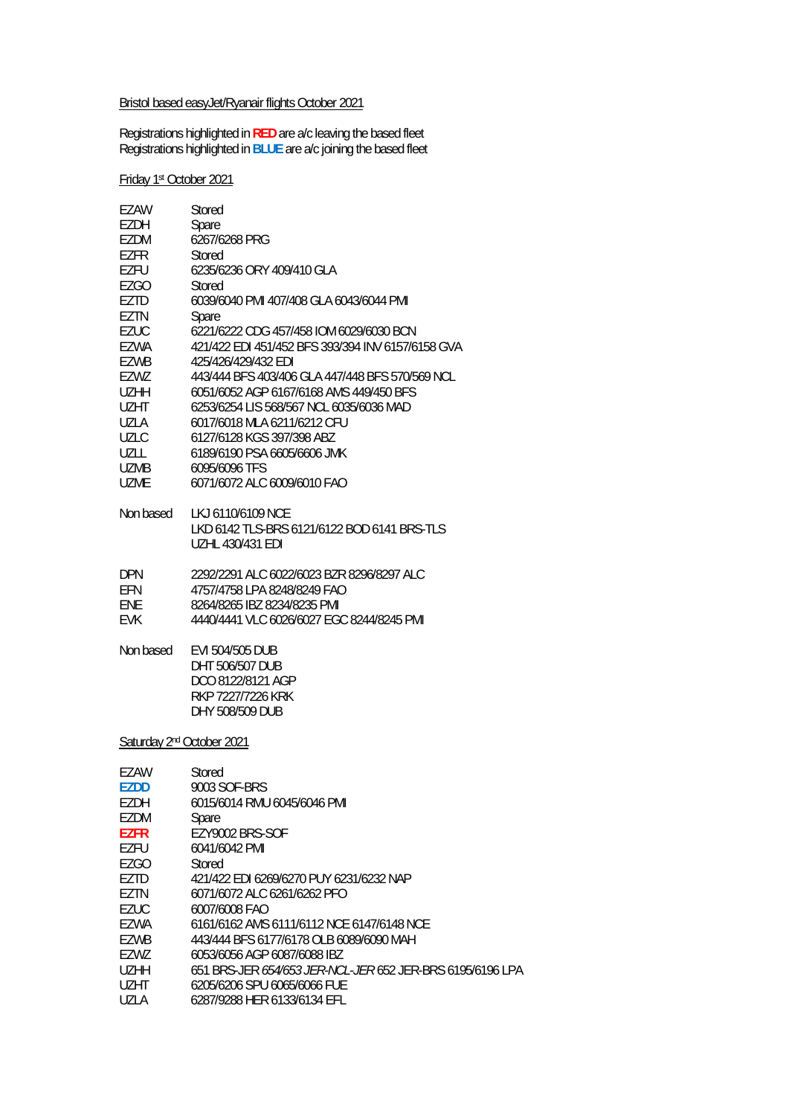### Bristol based easyJet/Ryanair flights October 2021

Registrations highlighted in **RED** are a/c leaving the based fleet Registrations highlighted in **BLUE** are a/c joining the based fleet

Friday 1st October 2021

| EZAW                                  | Stored                                                                                          |  |
|---------------------------------------|-------------------------------------------------------------------------------------------------|--|
| EZDH                                  | Spare                                                                                           |  |
| EZDM                                  | 6267/6268 PRG                                                                                   |  |
| EZFR                                  | Stored                                                                                          |  |
| EZFU                                  | 6235/6236 ORY 409/410 GLA                                                                       |  |
| EZGO                                  | Stored                                                                                          |  |
| EZTD                                  | 6039/6040 PMI 407/408 GLA 6043/6044 PMI                                                         |  |
| EZTN                                  | Spare                                                                                           |  |
| <b>EZUC</b>                           | 6221/6222 CDG 457/458 IOM 6029/6030 BCN                                                         |  |
| EZWA                                  | 421/422 EDI 451/452 BFS 393/394 INV 6157/6158 GVA                                               |  |
| EZWB                                  | 425/426/429/432 EDI                                                                             |  |
| EZWZ                                  | 443/444 BFS 403/406 GLA 447/448 BFS 570/569 NCL                                                 |  |
| UZHH                                  | 6051/6052 AGP 6167/6168 AMS 449/450 BFS                                                         |  |
| UZHT                                  | 6253/6254 LIS 568/567 NCL 6035/6036 MAD                                                         |  |
| UZLA                                  | 6017/6018 MLA 6211/6212 CFU                                                                     |  |
| <b>UZLC</b>                           | 6127/6128 KGS 397/398 ABZ                                                                       |  |
| UZLL                                  | 6189/6190 PSA 6605/6606 JMK                                                                     |  |
| UZMB                                  | 6095/6096 TFS                                                                                   |  |
| <b>UZME</b>                           | 6071/6072 ALC 6009/6010 FAO                                                                     |  |
| Non based                             | LKJ 6110/6109 NCE<br>LKD 6142 TLS-BRS 6121/6122 BOD 6141 BRS-TLS<br><b>UZHL 430/431 EDI</b>     |  |
| <b>DPN</b>                            | 2292/2291 ALC 6022/6023 BZR 8296/8297 ALC                                                       |  |
| EFN                                   | 4757/4758 LPA 8248/8249 FAO                                                                     |  |
| ENE                                   | 8264/8265 IBZ 8234/8235 PMI                                                                     |  |
| <b>EVK</b>                            | 4440/4441 VLC 6026/6027 EGC 8244/8245 PMI                                                       |  |
| Non based                             | EVI 504/505 DUB<br>DHT 506/507 DUB<br>DCO 8122/8121 AGP<br>RKP 7227/7226 KRK<br>DHY 508/509 DUB |  |
| Saturday 2 <sup>nd</sup> October 2021 |                                                                                                 |  |
| EZAW                                  | Stored                                                                                          |  |
| <b>EZDD</b>                           | 9003 SOF-BRS                                                                                    |  |
| <b>EZDH</b>                           | 6015/6014 RMU 6045/6046 PMI                                                                     |  |
| EZDM                                  | Spare                                                                                           |  |
| <b>EZFR</b>                           | EZY9002 BRS-SOF                                                                                 |  |
| EZFU                                  | 6041/6042 PMI                                                                                   |  |
| <b>EZGO</b>                           | Stored                                                                                          |  |
| EZTD                                  | 421/422 EDI 6269/6270 PUY 6231/6232 NAP                                                         |  |
| <b>EZTN</b>                           | 6071/6072 ALC 6261/6262 PFO                                                                     |  |
| <b>EZUC</b>                           | 6007/6008 FAO                                                                                   |  |
| EZWA                                  | 6161/6162 AMS 6111/6112 NCE 6147/6148 NCE                                                       |  |
| EZWB                                  | 443/444 BFS 6177/6178 OLB 6089/6090 MAH                                                         |  |
| EZWZ                                  | 6053/6056 AGP 6087/6088 IBZ                                                                     |  |
| <b>UZHH</b>                           | 651 BRS-JER 654/653 JER-NCL-JER 652 JER-BRS 6195/6196 LPA                                       |  |
| <b>UZHT</b>                           | 6205/6206 SPU 6065/6066 FUE                                                                     |  |
| <b>UZLA</b>                           | 6287/9288 HER 6133/6134 EFL                                                                     |  |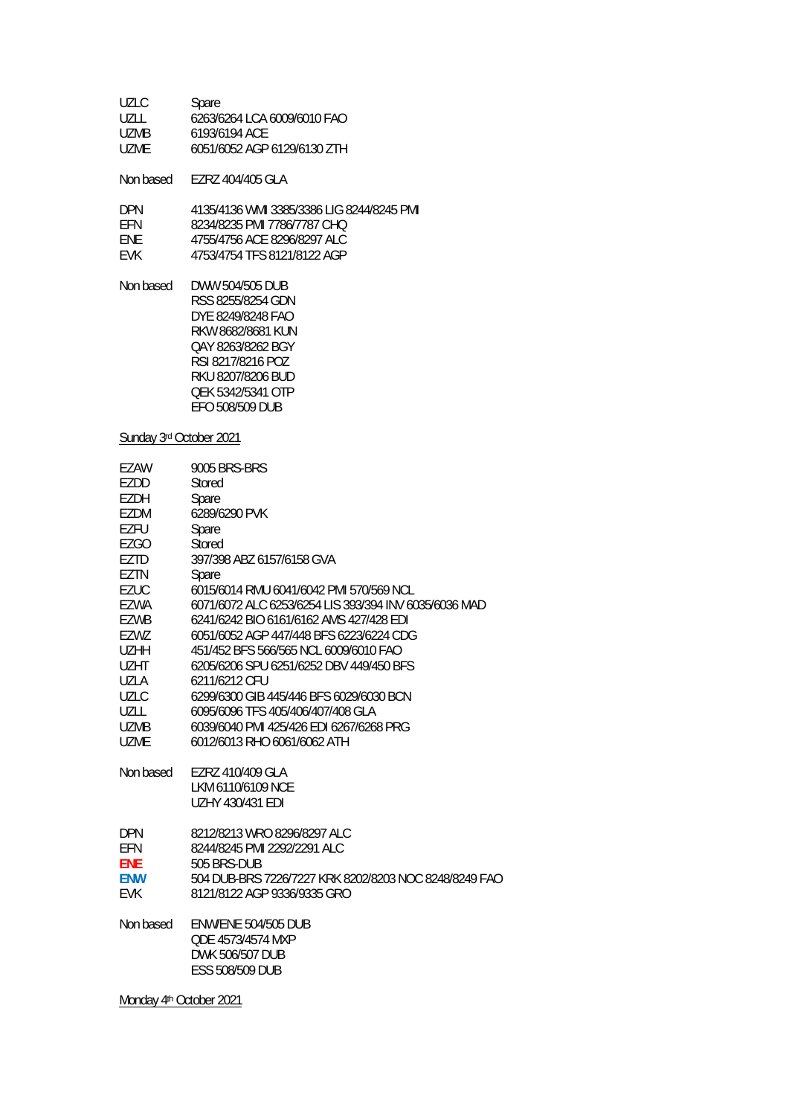| UZLC. | Spare                       |
|-------|-----------------------------|
| UZLL  | 6263/6264 LCA 6009/6010 FAO |
| UZMB  | 6193/6194 ACE               |
| UZME. | 6051/6052 AGP 6129/6130 ZTH |

Non based EZRZ 404/405 GLA

| <b>DPN</b> | 4135/4136 WMI 3385/3386 LIG 8244/8245 PMI |
|------------|-------------------------------------------|
| <b>FFN</b> | 8234/8235 PMI 7786/7787 CHO               |
| <b>FNF</b> | 4755/4756 ACF 8296/8297 ALC               |
| <b>FVK</b> | 4753/4754 TFS 8121/8122 AGP               |

Non based DWW 504/505 DUB RSS 8255/8254 GDN DYE 8249/8248 FAO RKW 8682/8681 KUN QAY 8263/8262 BGY RSI 8217/8216 POZ RKU 8207/8206 BUD QEK 5342/5341 OTP EFO 508/509 DUB

### Sunday 3rd October 2021

| EZAW        | 9005 BRS-BRS                                          |
|-------------|-------------------------------------------------------|
| EZDD        | Stored                                                |
| EZDH        | Spare                                                 |
| EZDM        | 6289/6290 PVK                                         |
| <b>EZFU</b> | Spare                                                 |
| <b>EZGO</b> | Stored                                                |
| EZTD        | 397/398 ABZ 6157/6158 GVA                             |
| EZTN        | Spare                                                 |
| <b>EZUC</b> | 6015/6014 RMU 6041/6042 PMI 570/569 NCL               |
| EZWA        | 6071/6072 ALC 6253/6254 LIS 393/394 INV 6035/6036 MAD |
| EZWB        | 6241/6242 BIO 6161/6162 AMS 427/428 EDI               |
| EZWZ        | 6051/6052 AGP 447/448 BFS 6223/6224 CDG               |
| <b>UZHH</b> | 451/452 BFS 566/565 NCL 6009/6010 FAO                 |
| <b>UZHT</b> | 6205/6206 SPU 6251/6252 DBV 449/450 BFS               |
| UZLA        | 6211/6212 CFU                                         |
| UZLC        | 6299/6300 GIB 445/446 BFS 6029/6030 BCN               |
| UZLL        | 6095/6096 TFS 405/406/407/408 GLA                     |
| <b>UZMB</b> | 6039/6040 PMI 425/426 EDI 6267/6268 PRG               |
| <b>UZME</b> | 6012/6013 RHO 6061/6062 ATH                           |
| Non based   | EZRZ 410/409 GLA                                      |
|             | LKM 6110/6109 NCE                                     |
|             | <b>UZHY 430/431 EDI</b>                               |
| <b>DPN</b>  | 8212/8213 WRO 8296/8297 ALC                           |
| EFN         | 8244/8245 PMI 2292/2291 ALC                           |
| <b>ENE</b>  | 505 BRS-DUB                                           |
| <b>ENW</b>  | 504 DUB-BRS 7226/7227 KRK 8202/8203 NOC 8248/8249 FAO |
| <b>EVK</b>  | 8121/8122 AGP 9336/9335 GRO                           |
|             |                                                       |
| Non based   | <b>ENW/ENE 504/505 DUB</b>                            |
|             | QDE 4573/4574 MXP                                     |
|             | DWK 506/507 DUB                                       |
|             | ESS 508/509 DUB                                       |
|             |                                                       |

Monday 4<sup>th</sup> October 2021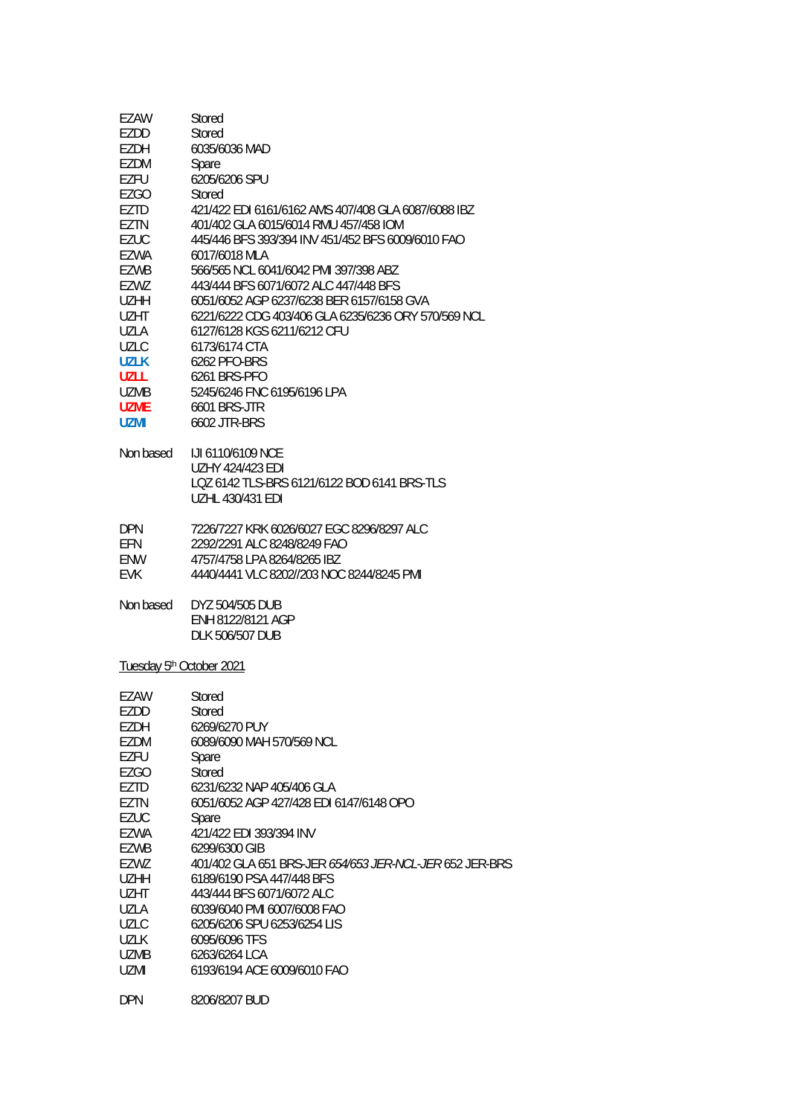| EZAW<br>EZDD<br>EZDH<br>EZDM<br>EZFU<br>EZGO<br>EZTD<br>EZTN<br><b>EZUC</b><br>EZWA<br>EZWB<br>EZWZ<br><b>UZHH</b><br><b>UZHT</b><br><b>UZLA</b><br><b>UZLC</b><br><b>UZLK</b><br><b>UZLL</b><br>UZMB<br><b>UZME</b> | Stored<br>Stored<br>6035/6036 MAD<br>Spare<br>6205/6206 SPU<br>Stored<br>421/422 EDI 6161/6162 AMS 407/408 GLA 6087/6088 IBZ<br>401/402 GLA 6015/6014 RMU 457/458 IOM<br>445/446 BFS 393/394 INV 451/452 BFS 6009/6010 FAO<br>6017/6018 MLA<br>566/565 NCL 6041/6042 PMI 397/398 ABZ<br>443/444 BFS 6071/6072 ALC 447/448 BFS<br>6051/6052 AGP 6237/6238 BER 6157/6158 GVA<br>6221/6222 CDG 403/406 GLA 6235/6236 ORY 570/569 NCL<br>6127/6128 KGS 6211/6212 CFU<br>6173/6174 CTA<br>6262 PFO-BRS<br>6261 BRS-PFO<br>5245/6246 FNC 6195/6196 LPA<br><b>6601 BRS-JTR</b> |
|----------------------------------------------------------------------------------------------------------------------------------------------------------------------------------------------------------------------|-------------------------------------------------------------------------------------------------------------------------------------------------------------------------------------------------------------------------------------------------------------------------------------------------------------------------------------------------------------------------------------------------------------------------------------------------------------------------------------------------------------------------------------------------------------------------|
| <b>UZMI</b><br>Non based                                                                                                                                                                                             | 6602 JTR-BRS<br><b>IJI 6110/6109 NCE</b><br><b>UZHY 424/423 EDI</b><br>LQZ 6142 TLS-BRS 6121/6122 BOD 6141 BRS-TLS                                                                                                                                                                                                                                                                                                                                                                                                                                                      |
| <b>DPN</b><br>EFN<br>ENW<br><b>EVK</b>                                                                                                                                                                               | <b>UZHL 430/431 EDI</b><br>7226/7227 KRK 6026/6027 EGC 8296/8297 ALC<br>2292/2291 ALC 8248/8249 FAO<br>4757/4758 LPA 8264/8265 IBZ<br>4440/4441 VLC 8202//203 NOC 8244/8245 PMI                                                                                                                                                                                                                                                                                                                                                                                         |
| Non based                                                                                                                                                                                                            | DYZ 504/505 DUB<br>ENH 8122/8121 AGP<br><b>DLK 506/507 DUB</b>                                                                                                                                                                                                                                                                                                                                                                                                                                                                                                          |
| Tuesday 5 <sup>th</sup> October 2021                                                                                                                                                                                 |                                                                                                                                                                                                                                                                                                                                                                                                                                                                                                                                                                         |
| EZAW<br>EZDD<br>EZDH<br><b>EZDM</b><br>EZFU<br><b>EZGO</b><br>EZTD<br>EZTN<br><b>EZUC</b><br>EZWA<br>EZWB<br>EZWZ<br><b>UZHH</b><br><b>UZHT</b><br>UZLA<br><b>UZLC</b><br><b>UZLK</b><br><b>UZMB</b><br><b>UZMI</b>  | Stored<br>Stored<br>6269/6270 PUY<br>6089/6090 MAH 570/569 NCL<br>Spare<br>Stored<br>6231/6232 NAP 405/406 GLA<br>6051/6052 AGP 427/428 EDI 6147/6148 OPO<br>Spare<br>421/422 EDI 393/394 INV<br>6299/6300 GIB<br>401/402 GLA 651 BRS-JER 654/653 JER-NCL-JER 652 JER-BRS<br>6189/6190 PSA 447/448 BFS<br>443/444 BFS 6071/6072 ALC<br>6039/6040 PMI 6007/6008 FAO<br>6205/6206 SPU 6253/6254 LIS<br>6095/6096 TFS<br>6263/6264 LCA<br>6193/6194 ACE 6009/6010 FAO                                                                                                      |
| <b>DPN</b>                                                                                                                                                                                                           | 8206/8207 BUD                                                                                                                                                                                                                                                                                                                                                                                                                                                                                                                                                           |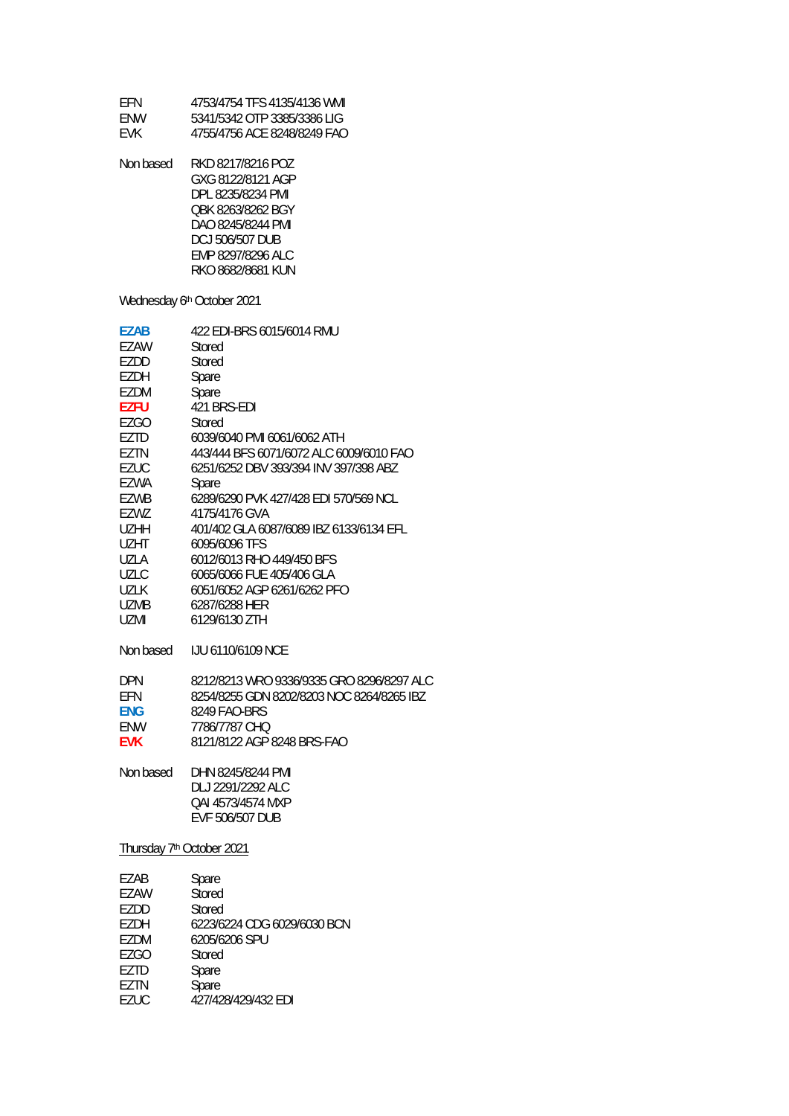| EFN<br>ENW<br><b>EVK</b>                                                                                                                                                         | 4753/4754 TFS 4135/4136 WMI<br>5341/5342 OTP 3385/3386 LIG<br>4755/4756 ACE 8248/8249 FAO                                                                                                                                                                                                                                                                                                                                                            |
|----------------------------------------------------------------------------------------------------------------------------------------------------------------------------------|------------------------------------------------------------------------------------------------------------------------------------------------------------------------------------------------------------------------------------------------------------------------------------------------------------------------------------------------------------------------------------------------------------------------------------------------------|
| Non based                                                                                                                                                                        | RKD 8217/8216 POZ<br>GXG 8122/8121 AGP<br>DPL 8235/8234 PMI<br>QBK 8263/8262 BGY<br>DAO 8245/8244 PMI<br><b>DCJ 506/507 DUB</b><br>EMP 8297/8296 ALC<br>RKO 8682/8681 KUN                                                                                                                                                                                                                                                                            |
|                                                                                                                                                                                  | Wednesday 6th October 2021                                                                                                                                                                                                                                                                                                                                                                                                                           |
| <b>EZAB</b><br>EZAW<br>EZDD<br>EZDH<br>EZDM<br>EZFU<br>EZGO<br>EZTD<br>EZTN<br><b>EZUC</b><br>EZWA<br>EZWB<br>EZWZ<br>UZHH<br>UZHT<br>UZLA<br><b>UZLC</b><br><b>UZLK</b><br>UZMB | 422 EDI-BRS 6015/6014 RMU<br>Stored<br>Stored<br>Spare<br>Spare<br>421 BRS-EDI<br>Stored<br>6039/6040 PMI 6061/6062 ATH<br>443/444 BFS 6071/6072 ALC 6009/6010 FAO<br>6251/6252 DBV 393/394 INV 397/398 ABZ<br>Spare<br>6289/6290 PVK 427/428 EDI 570/569 NCL<br>4175/4176 GVA<br>401/402 GLA 6087/6089 IBZ 6133/6134 EFL<br>6095/6096 TFS<br>6012/6013 RHO 449/450 BFS<br>6065/6066 FUE 405/406 GLA<br>6051/6052 AGP 6261/6262 PFO<br>6287/6288 HER |
| <b>UZMI</b>                                                                                                                                                                      | 6129/6130 ZTH                                                                                                                                                                                                                                                                                                                                                                                                                                        |
| Non based<br><b>DPN</b><br>EFN<br><b>ENG</b><br>ENW<br><b>EVK</b>                                                                                                                | LJU 6110/6109 NCE<br>8212/8213 WRO 9336/9335 GRO 8296/8297 ALC<br>8254/8255 GDN 8202/8203 NOC 8264/8265 IBZ<br>8249 FAO-BRS<br>7786/7787 CHQ<br>8121/8122 AGP 8248 BRS-FAO                                                                                                                                                                                                                                                                           |
| Non based                                                                                                                                                                        | DHN 8245/8244 PMI<br>DLJ 2291/2292 ALC<br>QAI 4573/4574 MXP<br>EVF 506/507 DUB                                                                                                                                                                                                                                                                                                                                                                       |
| Thursday 7 <sup>th</sup> October 2021                                                                                                                                            |                                                                                                                                                                                                                                                                                                                                                                                                                                                      |
| EZAB<br>EZAW<br>EZDD<br>EZDH<br>EZDM<br>EZGO<br>EZTD                                                                                                                             | Spare<br>Stored<br>Stored<br>6223/6224 CDG 6029/6030 BCN<br>6205/6206 SPU<br>Stored<br>Spare                                                                                                                                                                                                                                                                                                                                                         |

- EZTN Spare
- EZUC 427/428/429/432 EDI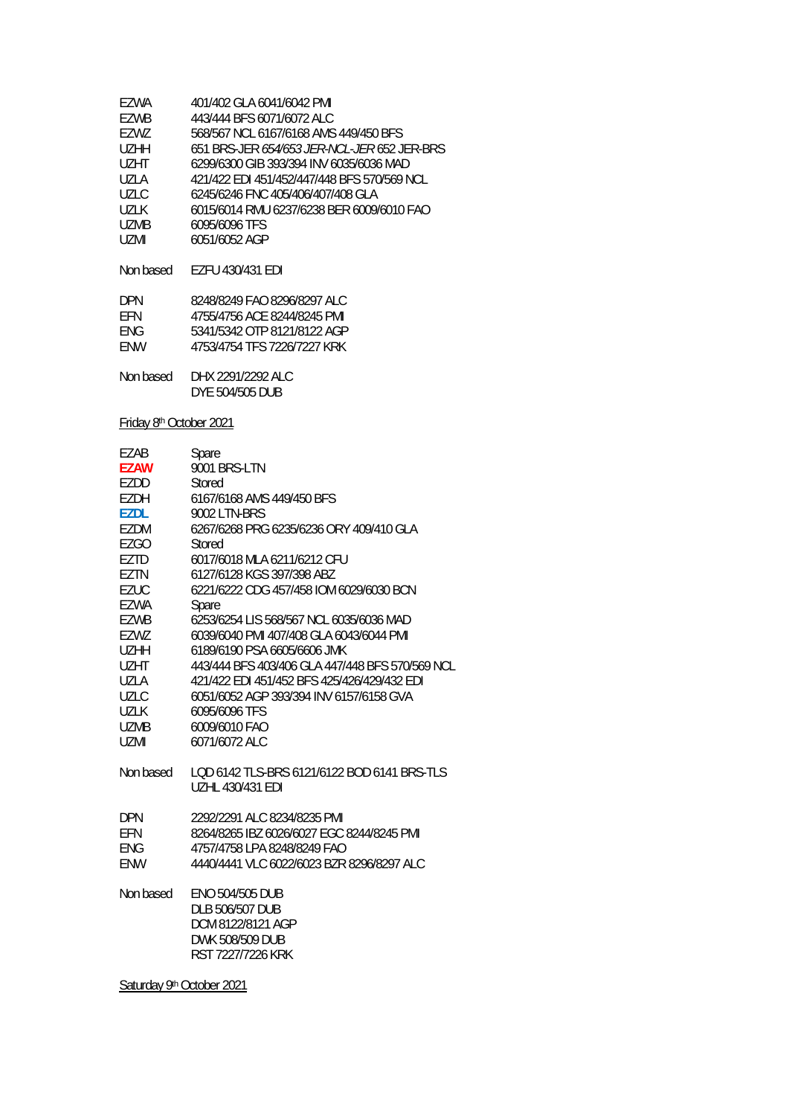| FZWA      | 401/402 GLA 6041/6042 PMI                          |
|-----------|----------------------------------------------------|
| F7WB      | 443/444 BFS 6071/6072 ALC                          |
| F7W7      | 568/567 NCL 6167/6168 AMS 449/450 BFS              |
| U7HH      | 651 BRS-JER <i>654/653 JER-NCL-JER</i> 652 JER-BRS |
| UZHT      | 6299/6300 GIB 393/394 INV 6035/6036 MAD            |
| UZI A     | 421/422 EDI 451/452/447/448 BFS 570/569 NCL        |
| UZLC.     | 6245/6246 FNC 405/406/407/408 GLA                  |
| 1171 K    | 6015/6014 RMU 6237/6238 BER 6009/6010 FAO          |
| UZMB      | 6095/6096 TFS                                      |
| UZMI      | 6051/6052 AGP                                      |
|           |                                                    |
| Non based | <b>F7FU 430/431 FDI</b>                            |
|           |                                                    |
| DPN       | 8248/8249 FAO 8296/8297 ALC                        |

| FFN  | 4755/4756 ACE 8244/8245 PMI |
|------|-----------------------------|
| ENG. | 5341/5342 OTP 8121/8122 AGP |
| ENW  | 4753/4754 TFS 7226/7227 KRK |

| Non based | DHX 2291/2292 ALC |
|-----------|-------------------|
|           | DYE 504/505 DUB   |

### Friday 8th October 2021

| EZAB        | Spare                                                                  |
|-------------|------------------------------------------------------------------------|
| <b>EZAW</b> | 9001 BRS-LTN                                                           |
| EZDD        | Stored                                                                 |
| EZDH        | 6167/6168 AMS 449/450 BFS                                              |
| <b>EZDL</b> | 9002 LTN-BRS                                                           |
| EZDM        | 6267/6268 PRG 6235/6236 ORY 409/410 GLA                                |
| EZGO        | Stored                                                                 |
| EZTD        | 6017/6018 MLA 6211/6212 CFU                                            |
| EZTN        | 6127/6128 KGS 397/398 ABZ                                              |
| <b>EZUC</b> | 6221/6222 CDG 457/458 IOM 6029/6030 BCN                                |
| EZWA        | Spare                                                                  |
| <b>EZWB</b> | 6253/6254 LIS 568/567 NCL 6035/6036 MAD                                |
| EZWZ        | 6039/6040 PMI 407/408 GLA 6043/6044 PMI                                |
| <b>UZHH</b> | 6189/6190 PSA 6605/6606 JMK                                            |
| <b>UZHT</b> | 443/444 BFS 403/406 GLA 447/448 BFS 570/569 NCL                        |
| UZLA        | 421/422 EDI 451/452 BFS 425/426/429/432 EDI                            |
| <b>UZLC</b> | 6051/6052 AGP 393/394 INV 6157/6158 GVA                                |
| <b>UZLK</b> | 6095/6096 TFS                                                          |
| <b>UZMB</b> | 6009/6010 FAO                                                          |
| <b>UZMI</b> | 6071/6072 ALC                                                          |
| Non based   | LOD 6142 TLS-BRS 6121/6122 BOD 6141 BRS-TLS<br><b>UZHL 430/431 EDI</b> |
| <b>DPN</b>  | 2292/2291 ALC 8234/8235 PMI                                            |
| EFN         | 8264/8265 IBZ 6026/6027 EGC 8244/8245 PMI                              |
| <b>ENG</b>  | 4757/4758 LPA 8248/8249 FAO                                            |
| <b>ENW</b>  | 4440/4441 VLC 6022/6023 BZR 8296/8297 ALC                              |
|             |                                                                        |
| Non based   | <b>ENO 504/505 DUB</b>                                                 |
|             | DLB 506/507 DUB                                                        |
|             | DCM 8122/8121 AGP                                                      |
|             | <b>DWK 508/509 DUB</b>                                                 |
|             | RST 7227/7226 KRK                                                      |

Saturday 9<sup>th</sup> October 2021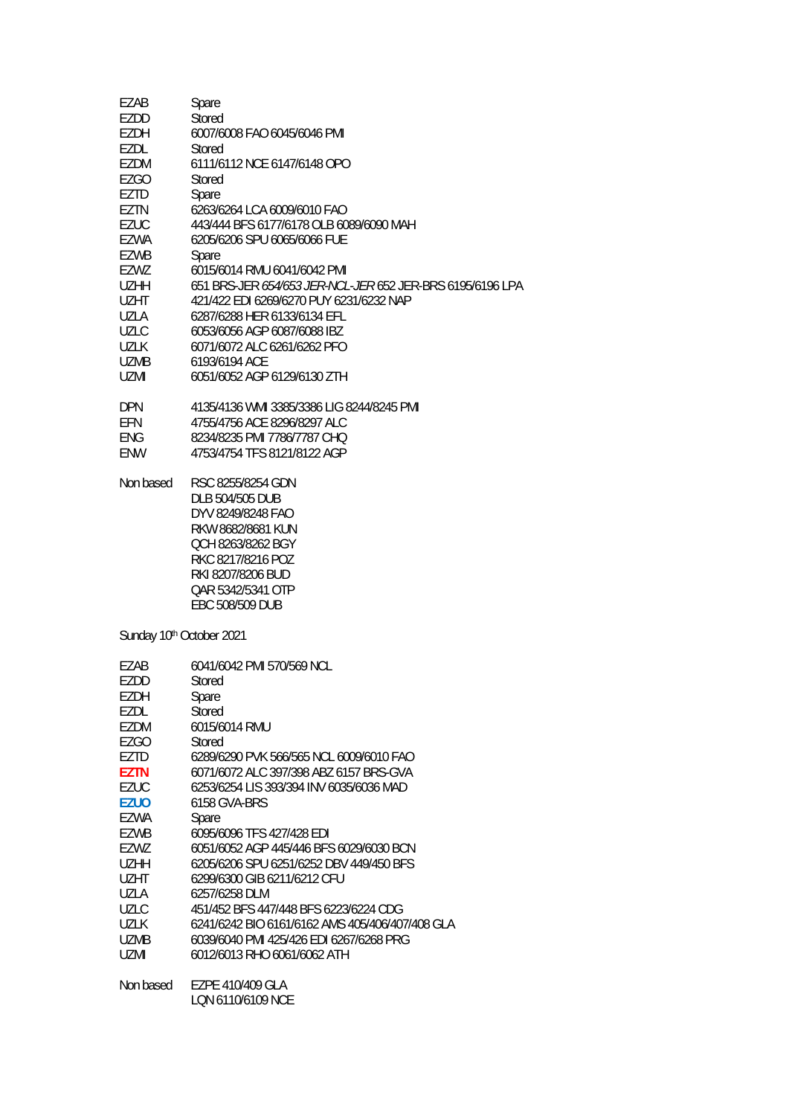| EZAB                     | Spare                                                                |
|--------------------------|----------------------------------------------------------------------|
| EZDD                     | <b>Stored</b>                                                        |
| EZDH                     | 6007/6008 FAO 6045/6046 PMI                                          |
| EZDL                     | Stored                                                               |
| EZDM                     | 6111/6112 NCE 6147/6148 OPO                                          |
| EZGO                     | Stored                                                               |
| EZTD                     | Spare                                                                |
| EZTN                     | 6263/6264 LCA 6009/6010 FAO                                          |
| <b>EZUC</b>              | 443/444 BFS 6177/6178 OLB 6089/6090 MAH                              |
| EZWA                     | 6205/6206 SPU 6065/6066 FUE                                          |
| EZWB                     | Spare                                                                |
| EZWZ                     | 6015/6014 RMU 6041/6042 PMI                                          |
| <b>UZHH</b>              | 651 BRS-JER 654/653 JER-NCL-JER 652 JER-BRS 6195/6196 LPA            |
| <b>UZHT</b>              | 421/422 EDI 6269/6270 PUY 6231/6232 NAP                              |
| <b>UZLA</b>              | 6287/6288 HER 6133/6134 EFL                                          |
| <b>UZLC</b>              | 6053/6056 AGP 6087/6088 IBZ                                          |
| <b>UZLK</b>              | 6071/6072 ALC 6261/6262 PFO                                          |
| UZMB                     | 6193/6194 ACE                                                        |
| <b>UZMI</b>              | 6051/6052 AGP 6129/6130 ZTH                                          |
|                          |                                                                      |
| <b>DPN</b>               | 4135/4136 WMI 3385/3386 LIG 8244/8245 PMI                            |
| EFN                      | 4755/4756 ACE 8296/8297 ALC                                          |
| <b>ENG</b>               | 8234/8235 PMI 7786/7787 CHQ                                          |
| <b>ENW</b>               | 4753/4754 TFS 8121/8122 AGP                                          |
|                          |                                                                      |
| Non based                | RSC 8255/8254 GDN                                                    |
|                          | DLB 504/505 DUB                                                      |
|                          | DYV 8249/8248 FAO                                                    |
|                          | RKW 8682/8681 KUN                                                    |
|                          | QCH 8263/8262 BGY                                                    |
|                          | RKC 8217/8216 POZ                                                    |
|                          | RKI 8207/8206 BUD                                                    |
|                          | QAR 5342/5341 OTP                                                    |
|                          | EBC 508/509 DUB                                                      |
|                          |                                                                      |
| Sunday 10th October 2021 |                                                                      |
| EZAB                     | 6041/6042 PMI 570/569 NCL                                            |
| EZDD                     | Stored                                                               |
| EZDH                     | Spare                                                                |
| EZDL                     | Stored                                                               |
| EZDM                     | 6015/6014 RMU                                                        |
| <b>EZGO</b>              | Stored                                                               |
| EZTD                     | 6289/6290 PVK 566/565 NCL 6009/6010 FAO                              |
| <b>EZTN</b>              | 6071/6072 ALC 397/398 ABZ 6157 BRS-GVA                               |
| <b>EZUC</b>              | 6253/6254 LIS 393/394 INV 6035/6036 MAD                              |
| <b>EZUO</b>              | 6158 GVA-BRS                                                         |
|                          |                                                                      |
| EZWA<br><b>EZWB</b>      | Spare                                                                |
|                          | 6095/6096 TFS 427/428 EDI<br>6051/6052 AGP 445/446 BFS 6029/6030 BCN |
| EZWZ                     |                                                                      |
| <b>UZHH</b>              | 6205/6206 SPU 6251/6252 DBV 449/450 BFS                              |
| <b>UZHT</b>              | 6299/6300 GIB 6211/6212 CFU                                          |
| <b>UZLA</b>              | 6257/6258 DLM                                                        |
| <b>UZLC</b>              | 451/452 BFS 447/448 BFS 6223/6224 CDG                                |
| <b>UZLK</b>              | 6241/6242 BIO 6161/6162 AMS 405/406/407/408 GLA                      |
| <b>UZMB</b>              | 6039/6040 PMI 425/426 EDI 6267/6268 PRG                              |
| UZMI                     | 6012/6013 RHO 6061/6062 ATH                                          |

Non based EZPE 410/409 GLA LQN 6110/6109 NCE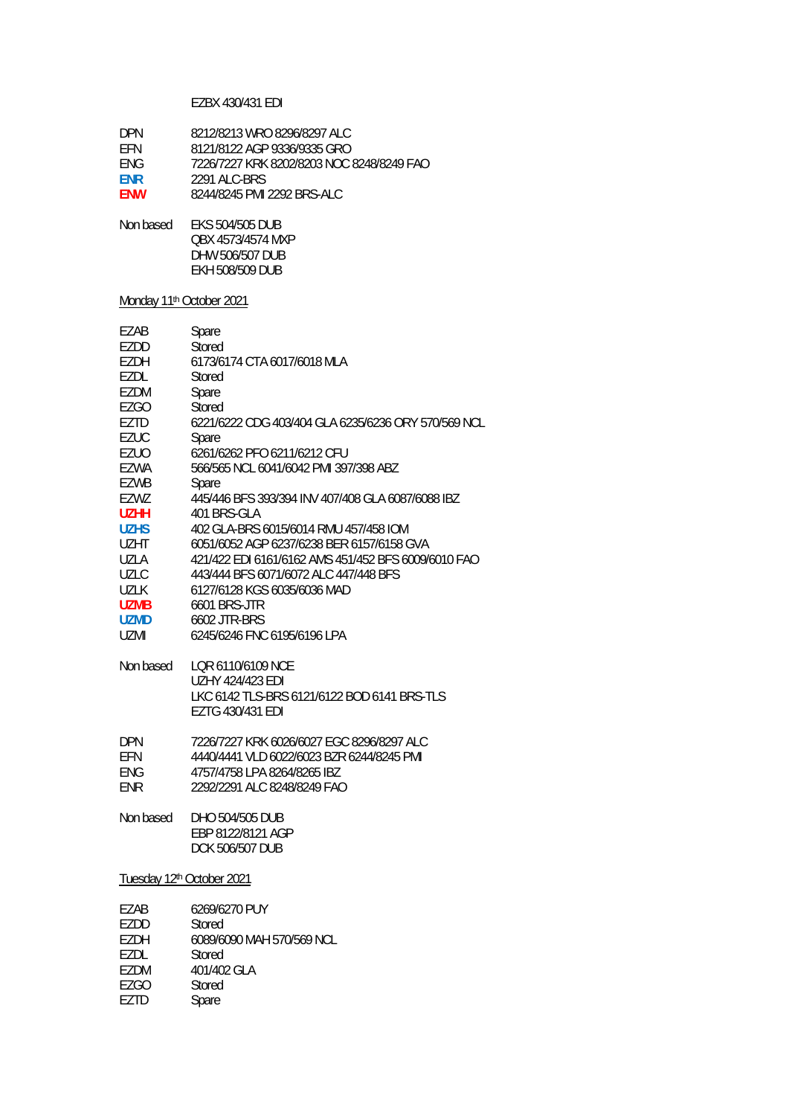### EZBX 430/431 EDI

| DPN.       | 8212/8213 WRO 8296/8297 ALC               |
|------------|-------------------------------------------|
| <b>FFN</b> | 8121/8122 AGP 9336/9335 GRO               |
| <b>FNG</b> | 7226/7227 KRK 8202/8203 NOC 8248/8249 FAO |
| <b>FNR</b> | 2291 ALC-BRS                              |
| <b>FNW</b> | 8244/8245 PMI 2292 BRS-ALC                |

Non based EKS 504/505 DUB QBX 4573/4574 MXP DHW 506/507 DUB EKH 508/509 DUB

# Monday 11<sup>th</sup> October 2021

| EZAB<br>EZDD<br>EZDH<br>EZDL<br>EZDM<br><b>EZGO</b><br>EZTD<br>EZUC<br>EZUO<br><b>EZWA</b><br><b>EZWB</b><br>EZWZ<br><b>UZHH</b><br><b>UZHS</b><br>UZHT<br><b>UZLA</b><br><b>UZLC</b><br><b>UZLK</b><br><b>UZMB</b><br><b>UZMD</b><br>UZMI | Spare<br>Stored<br>6173/6174 CTA 6017/6018 MLA<br>Stored<br>Spare<br>Stored<br>6221/6222 CDG 403/404 GLA 6235/6236 ORY 570/569 NCL<br>Spare<br>6261/6262 PFO 6211/6212 CFU<br>566/565 NCL 6041/6042 PMI 397/398 ABZ<br>Spare<br>445/446 BFS 393/394 INV 407/408 GLA 6087/6088 IBZ<br>401 BRS-GLA<br>402 GLA-BRS 6015/6014 RMU 457/458 IOM<br>6051/6052 AGP 6237/6238 BER 6157/6158 GVA<br>421/422 EDI 6161/6162 AMS 451/452 BFS 6009/6010 FAO<br>443/444 BFS 6071/6072 ALC 447/448 BFS<br>6127/6128 KGS 6035/6036 MAD<br><b>6601 BRS-JTR</b><br>6602 JTR-BRS<br>6245/6246 FNC 6195/6196 LPA |  |
|--------------------------------------------------------------------------------------------------------------------------------------------------------------------------------------------------------------------------------------------|---------------------------------------------------------------------------------------------------------------------------------------------------------------------------------------------------------------------------------------------------------------------------------------------------------------------------------------------------------------------------------------------------------------------------------------------------------------------------------------------------------------------------------------------------------------------------------------------|--|
| Non based                                                                                                                                                                                                                                  | LOR 6110/6109 NCE<br><b>UZHY 424/423 EDI</b><br>LKC 6142 TLS-BRS 6121/6122 BOD 6141 BRS-TLS<br>EZTG 430/431 EDI                                                                                                                                                                                                                                                                                                                                                                                                                                                                             |  |
| <b>DPN</b><br>EFN<br><b>ENG</b><br><b>ENR</b>                                                                                                                                                                                              | 7226/7227 KRK 6026/6027 EGC 8296/8297 ALC<br>4440/4441 VLD 6022/6023 BZR 6244/8245 PMI<br>4757/4758 LPA 8264/8265 IBZ<br>2292/2291 ALC 8248/8249 FAO                                                                                                                                                                                                                                                                                                                                                                                                                                        |  |
| Non based                                                                                                                                                                                                                                  | DHO 504/505 DUB<br>EBP 8122/8121 AGP<br><b>DCK 506/507 DUB</b>                                                                                                                                                                                                                                                                                                                                                                                                                                                                                                                              |  |
| Tuesday 12th October 2021                                                                                                                                                                                                                  |                                                                                                                                                                                                                                                                                                                                                                                                                                                                                                                                                                                             |  |
| <b>EZAB</b>                                                                                                                                                                                                                                | 6269/6270 PUY                                                                                                                                                                                                                                                                                                                                                                                                                                                                                                                                                                               |  |

| 6089/6090 MAH 570/569 NCL |
|---------------------------|
|                           |
|                           |
|                           |
|                           |
|                           |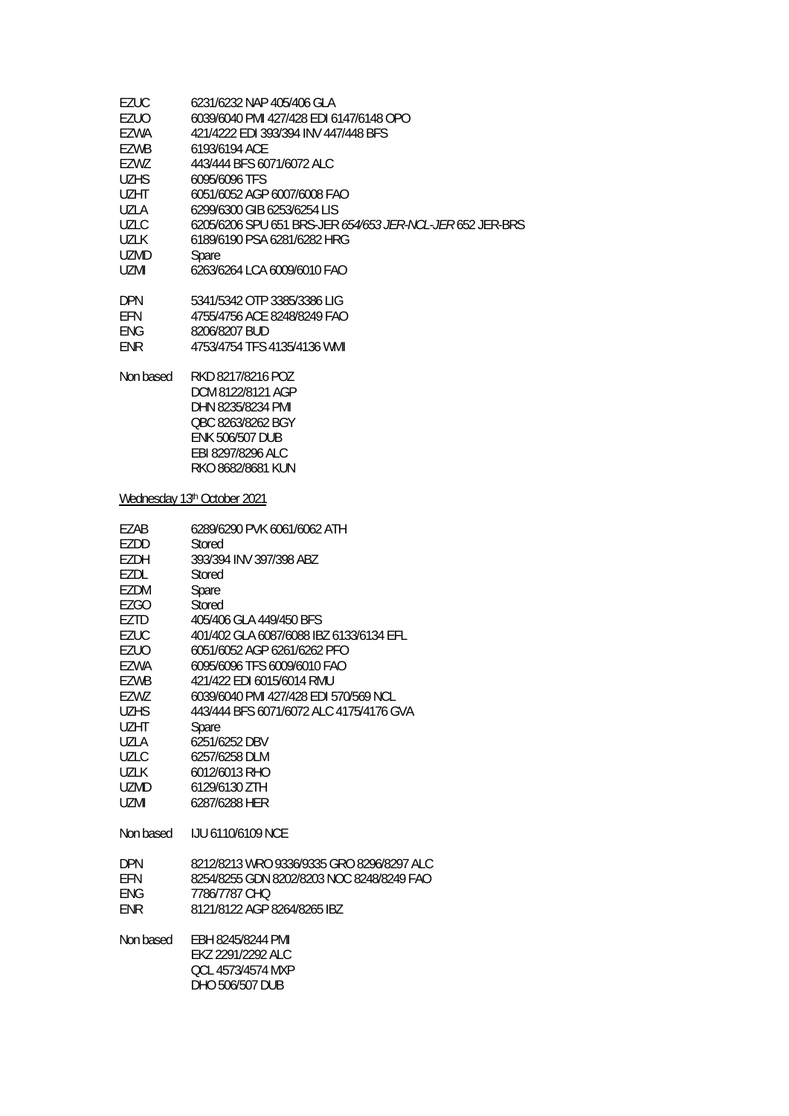| <b>EZUC</b> | 6231/6232 NAP 405/406 GLA                                                                                                                            |
|-------------|------------------------------------------------------------------------------------------------------------------------------------------------------|
| EZUO        | 6039/6040 PMI 427/428 EDI 6147/6148 OPO                                                                                                              |
| EZWA        | 421/4222 EDI 393/394 INV 447/448 BFS                                                                                                                 |
| EZWB        | 6193/6194 ACE                                                                                                                                        |
| EZWZ        | 443/444 BFS 6071/6072 ALC                                                                                                                            |
| <b>UZHS</b> | 6095/6096 TFS                                                                                                                                        |
| <b>UZHT</b> | 6051/6052 AGP 6007/6008 FAO                                                                                                                          |
| <b>UZLA</b> | 6299/6300 GIB 6253/6254 LIS                                                                                                                          |
| <b>UZLC</b> | 6205/6206 SPU 651 BRS-JER 654/653 JER-NCL-JER 652 JER-BRS                                                                                            |
| <b>UZLK</b> | 6189/6190 PSA 6281/6282 HRG                                                                                                                          |
| <b>UZMD</b> | Spare                                                                                                                                                |
| UZMI        | 6263/6264 LCA 6009/6010 FAO                                                                                                                          |
| <b>DPN</b>  | 5341/5342 OTP 3385/3386 LIG                                                                                                                          |
| EFN         | 4755/4756 ACE 8248/8249 FAO                                                                                                                          |
| <b>ENG</b>  | 8206/8207 BUD                                                                                                                                        |
| <b>ENR</b>  | 4753/4754 TFS 4135/4136 WMI                                                                                                                          |
| Non based   | RKD 8217/8216 POZ<br>DCM 8122/8121 AGP<br>DHN 8235/8234 PMI<br>QBC 8263/8262 BGY<br><b>ENK 506/507 DUB</b><br>EBI 8297/8296 ALC<br>RKO 8682/8681 KUN |
|             | Wednesday 13th October 2021                                                                                                                          |
| EZAB        | 6289/6290 PVK 6061/6062 ATH                                                                                                                          |
| EZDD        | Stored                                                                                                                                               |
| <b>EZDH</b> | 393/394 INV 397/398 ABZ                                                                                                                              |
| EZDL        | Stored                                                                                                                                               |
| EZDM        | Spare                                                                                                                                                |
| <b>EZGO</b> | Stored                                                                                                                                               |
| EZTD        | 405/406 GLA 449/450 BFS                                                                                                                              |
| <b>EZUC</b> | 401/402 GLA 6087/6088 IBZ 6133/6134 EFL                                                                                                              |
| EZUO        | 6051/6052 AGP 6261/6262 PFO                                                                                                                          |
| EZWA        | 6095/6096 TFS 6009/6010 FAO                                                                                                                          |
| <b>EZWB</b> | 421/422 EDI 6015/6014 RMU                                                                                                                            |
| EZWZ        | 6039/6040 PMI 427/428 EDI 570/569 NCL                                                                                                                |
| <b>UZHS</b> | 443/444 BFS 6071/6072 ALC 4175/4176 GVA                                                                                                              |
| <b>UZHT</b> | Spare                                                                                                                                                |
| UZLA        | 6251/6252 DBV                                                                                                                                        |
| <b>UZLC</b> | 6257/6258 DLM                                                                                                                                        |
| <b>UZLK</b> | 6012/6013 RHO                                                                                                                                        |
| UZMD        | 6129/6130 ZTH                                                                                                                                        |
| <b>UZMI</b> | 6287/6288 HER                                                                                                                                        |
| Non based   | <b>IJU 6110/6109 NCE</b>                                                                                                                             |
| <b>DPN</b>  | 8212/8213 WRO 9336/9335 GRO 8296/8297 ALC                                                                                                            |
| EFN         | 8254/8255 GDN 8202/8203 NOC 8248/8249 FAO                                                                                                            |
| <b>ENG</b>  | 7786/7787 CHQ                                                                                                                                        |
| <b>ENR</b>  | 8121/8122 AGP 8264/8265 IBZ                                                                                                                          |
| Non based   | EBH 8245/8244 PMI<br>EKZ 2291/2292 ALC<br>QCL 4573/4574 MXP<br>DHO 506/507 DUB                                                                       |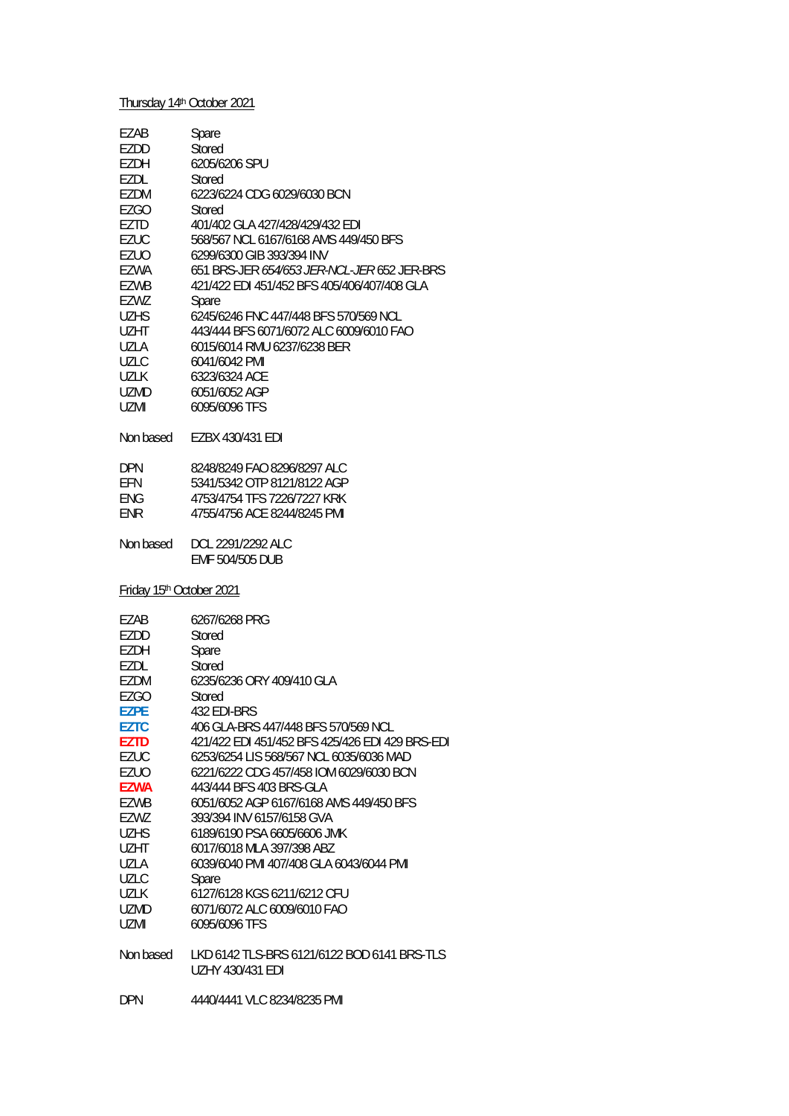## Thursday 14th October 2021

| EZAB<br>EZDD<br>EZDH<br>EZDL         | Spare<br>Stored<br>6205/6206 SPU<br>Stored                      |
|--------------------------------------|-----------------------------------------------------------------|
| <b>EZDM</b>                          | 6223/6224 CDG 6029/6030 BCN                                     |
| <b>EZGO</b>                          | Stored                                                          |
| <b>EZTD</b>                          | 401/402 GLA 427/428/429/432 EDI                                 |
| <b>EZUC</b>                          | 568/567 NCL 6167/6168 AMS 449/450 BFS                           |
| <b>EZUO</b>                          | 6299/6300 GIB 393/394 INV                                       |
| <b>EZWA</b>                          | 651 BRS-JER 654/653 JER-NCL-JER 652 JER-BRS                     |
| EZWB                                 | 421/422 EDI 451/452 BFS 405/406/407/408 GLA                     |
| EZWZ<br><b>UZHS</b>                  | Spare<br>6245/6246 FNC 447/448 BFS 570/569 NCL                  |
|                                      | 443/444 BFS 6071/6072 ALC 6009/6010 FAO                         |
| UZHT<br>UZLA                         | 6015/6014 RMU 6237/6238 BER                                     |
| <b>UZLC</b>                          | 6041/6042 PMI                                                   |
| <b>UZLK</b>                          | 6323/6324 ACE                                                   |
| <b>UZMD</b>                          | 6051/6052 AGP                                                   |
| <b>UZMI</b>                          | 6095/6096 TFS                                                   |
|                                      |                                                                 |
| Non based                            | EZBX 430/431 EDI                                                |
| <b>DPN</b>                           | 8248/8249 FAO 8296/8297 ALC                                     |
| EFN                                  | 5341/5342 OTP 8121/8122 AGP                                     |
| <b>ENG</b>                           | 4753/4754 TFS 7226/7227 KRK                                     |
| <b>ENR</b>                           | 4755/4756 ACE 8244/8245 PMI                                     |
| Non based                            | DCL 2291/2292 ALC<br>EMF 504/505 DUB                            |
| Friday 15 <sup>th</sup> October 2021 |                                                                 |
| EZAB                                 | 6267/6268 PRG                                                   |
| EZDD                                 | <b>Stored</b>                                                   |
| <b>EZDH</b>                          | Spare                                                           |
| <b>EZDL</b>                          | <b>Stored</b>                                                   |
| EZDM                                 | 6235/6236 ORY 409/410 GLA                                       |
| <b>EZGO</b><br><b>EZPE</b>           | Stored<br>432 EDI-BRS                                           |
| <b>EZTC</b>                          | 406 GLA-BRS 447/448 BFS 570/569 NCL                             |
| <b>EZTD</b>                          | 421/422 EDI 451/452 BFS 425/426 EDI 429 BRS-EDI                 |
| <b>EZUC</b>                          | 6253/6254 LIS 568/567 NCL 6035/6036 MAD                         |
| <b>EZUO</b>                          | 6221/6222 CDG 457/458 IOM 6029/6030 BCN                         |
| <b>EZWA</b>                          | 443/444 BFS 403 BRS-GLA                                         |
| <b>EZWB</b>                          | 6051/6052 AGP 6167/6168 AMS 449/450 BFS                         |
| EZWZ                                 | 393/394 INV 6157/6158 GVA                                       |
| <b>UZHS</b>                          | 6189/6190 PSA 6605/6606 JMK                                     |
| <b>UZHT</b>                          | 6017/6018 MLA 397/398 ABZ                                       |
| UZLA                                 | 6039/6040 PMI 407/408 GLA 6043/6044 PMI                         |
| <b>UZLC</b>                          | Spare                                                           |
| <b>UZLK</b>                          | 6127/6128 KGS 6211/6212 CFU                                     |
| UZMD                                 | 6071/6072 ALC 6009/6010 FAO                                     |
| <b>UZMI</b>                          | 6095/6096 TFS                                                   |
| Non based                            | LKD 6142 TLS-BRS 6121/6122 BOD 6141 BRS-TLS<br>UZHY 430/431 EDI |
| <b>DPN</b>                           | 4440/4441 VLC 8234/8235 PMI                                     |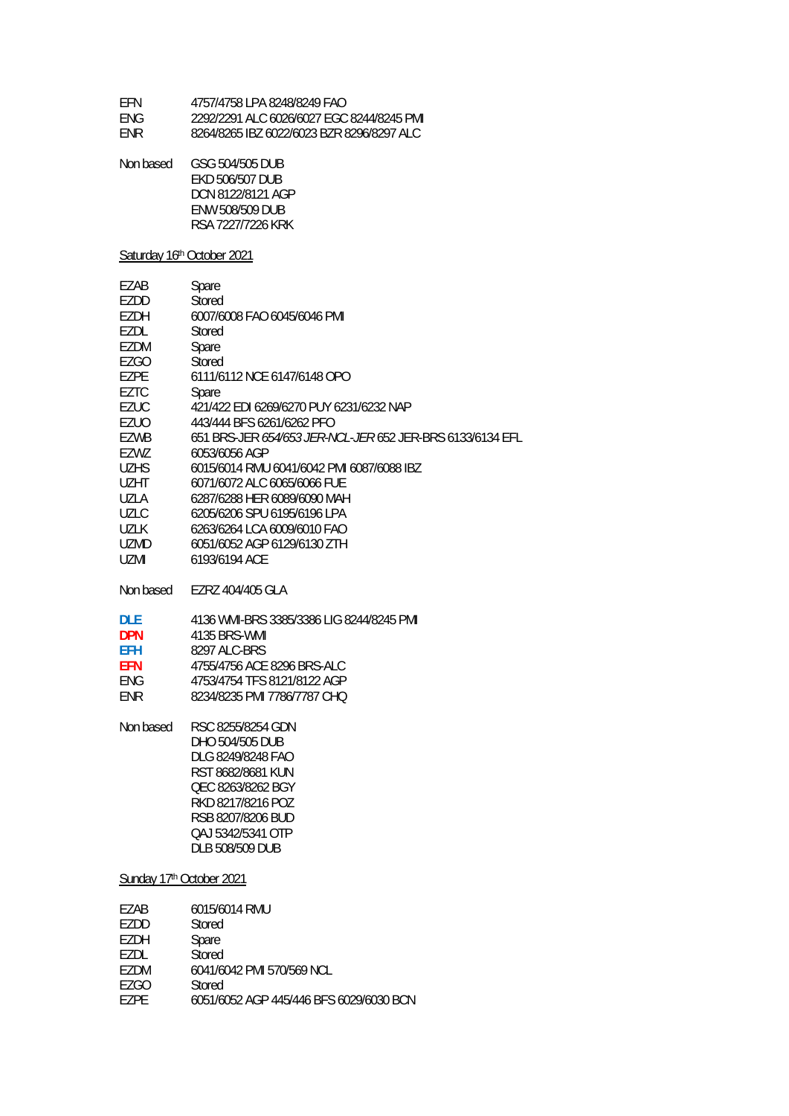| FFN  | 4757/4758 LPA 8248/8249 FAO               |
|------|-------------------------------------------|
| FNG. | 2292/2291 ALC 6026/6027 EGC 8244/8245 PMI |
| FNR. | 8264/8265 IBZ 6022/6023 BZR 8296/8297 ALC |

| Non based | GSG 504/505 DUB        |
|-----------|------------------------|
|           | EKD 506/507 DUB        |
|           | DCN 8122/8121 AGP      |
|           | <b>ENW 508/509 DUB</b> |
|           | RSA 7227/7226 KRK      |

### Saturday 16th October 2021

| EZAB                     | Spare                                                     |  |
|--------------------------|-----------------------------------------------------------|--|
| EZDD                     | Stored                                                    |  |
| EZDH                     | 6007/6008 FAO 6045/6046 PMI                               |  |
| EZDL                     | Stored                                                    |  |
| EZDM                     | Spare                                                     |  |
| EZGO                     | Stored                                                    |  |
| <b>EZPE</b>              | 6111/6112 NCE 6147/6148 OPO                               |  |
| <b>EZTC</b>              | Spare                                                     |  |
| <b>EZUC</b>              | 421/422 EDI 6269/6270 PUY 6231/6232 NAP                   |  |
| <b>EZUO</b>              | 443/444 BFS 6261/6262 PFO                                 |  |
| EZWB                     | 651 BRS-JER 654/653 JER-NCL-JER 652 JER-BRS 6133/6134 EFL |  |
| EZWZ                     | 6053/6056 AGP                                             |  |
| <b>UZHS</b>              | 6015/6014 RMU 6041/6042 PMI 6087/6088 IBZ                 |  |
| UZHT                     | 6071/6072 ALC 6065/6066 FUE                               |  |
| UZLA                     | 6287/6288 HER 6089/6090 MAH                               |  |
| <b>UZLC</b>              | 6205/6206 SPU 6195/6196 LPA                               |  |
| UZLK                     | 6263/6264 LCA 6009/6010 FAO                               |  |
| <b>UZMD</b>              | 6051/6052 AGP 6129/6130 ZTH                               |  |
| UZMI                     | 6193/6194 ACE                                             |  |
| Non based                | EZRZ 404/405 GLA                                          |  |
| <b>DLE</b>               | 4136 WMI-BRS 3385/3386 LIG 8244/8245 PMI                  |  |
| <b>DPN</b>               | 4135 BRS-WMI                                              |  |
| <b>EFH</b>               | 8297 ALC-BRS                                              |  |
| <b>EFN</b>               | 4755/4756 ACE 8296 BRS-ALC                                |  |
| <b>ENG</b>               | 4753/4754 TFS 8121/8122 AGP                               |  |
| ENR                      | 8234/8235 PMI 7786/7787 CHQ                               |  |
|                          |                                                           |  |
| Non based                | RSC 8255/8254 GDN                                         |  |
|                          | DHO 504/505 DUB                                           |  |
|                          | DLG 8249/8248 FAO                                         |  |
|                          | RST 8682/8681 KUN                                         |  |
|                          | QEC 8263/8262 BGY                                         |  |
|                          | RKD 8217/8216 POZ                                         |  |
|                          | RSB 8207/8206 BUD                                         |  |
|                          | QAJ 5342/5341 OTP                                         |  |
|                          | <b>DLB 508/509 DUB</b>                                    |  |
| Sunday 17th October 2021 |                                                           |  |
| EZAB                     | 6015/6014 RMU                                             |  |
| EZDD                     | Stored                                                    |  |
|                          |                                                           |  |

| LLDD | <b>JINEN</b>                            |
|------|-----------------------------------------|
| F7DH | Spare                                   |
| F7DL | Stored                                  |
| F7DM | 6041/6042 PMI 570/569 NCL               |
| F7GO | Stored                                  |
| F7PF | 6051/6052 AGP 445/446 BFS 6029/6030 BCN |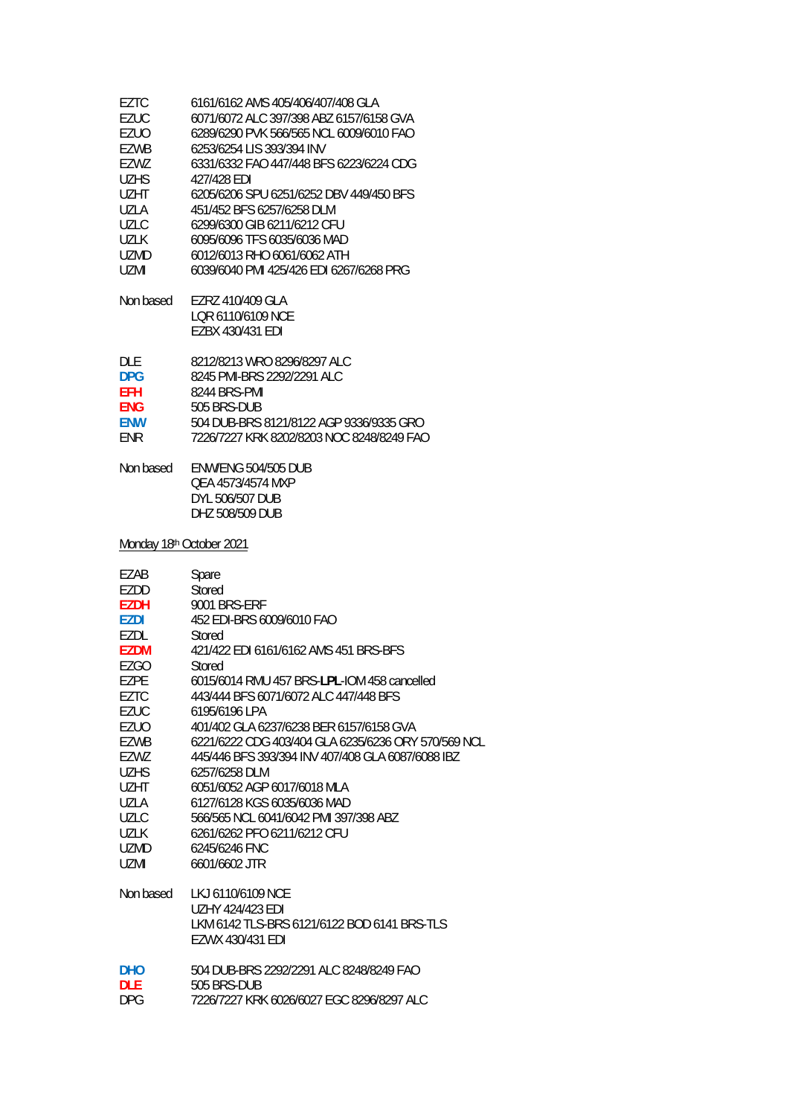| <b>EZUC</b>              | 6071/6072 ALC 397/398 ABZ 6157/6158 GVA                                               |
|--------------------------|---------------------------------------------------------------------------------------|
| EZUO                     | 6289/6290 PVK 566/565 NCL 6009/6010 FAO                                               |
| EZWB                     | 6253/6254 LIS 393/394 INV                                                             |
| EZWZ                     | 6331/6332 FAO 447/448 BFS 6223/6224 CDG                                               |
| <b>UZHS</b>              | 427/428 EDI                                                                           |
| UZHT                     | 6205/6206 SPU 6251/6252 DBV 449/450 BFS                                               |
| <b>UZLA</b>              | 451/452 BFS 6257/6258 DLM                                                             |
| <b>UZLC</b>              | 6299/6300 GIB 6211/6212 CFU                                                           |
| <b>UZLK</b>              | 6095/6096 TFS 6035/6036 MAD                                                           |
| <b>UZMD</b>              | 6012/6013 RHO 6061/6062 ATH                                                           |
| UZMI                     | 6039/6040 PMI 425/426 EDI 6267/6268 PRG                                               |
| Non based                | EZRZ 410/409 GLA<br>LQR 6110/6109 NCE<br>EZBX 430/431 EDI                             |
| <b>DLE</b>               | 8212/8213 WRO 8296/8297 ALC                                                           |
| <b>DPG</b>               | 8245 PMI-BRS 2292/2291 ALC                                                            |
| <b>EFH</b>               | 8244 BRS-PMI                                                                          |
| <b>ENG</b>               | 505 BRS-DUB                                                                           |
| <b>ENW</b>               | 504 DUB-BRS 8121/8122 AGP 9336/9335 GRO                                               |
| <b>ENR</b>               | 7226/7227 KRK 8202/8203 NOC 8248/8249 FAO                                             |
| Non based                | <b>ENW/ENG 504/505 DUB</b><br>QEA 4573/4574 MXP<br>DYL 506/507 DUB<br>DHZ 508/509 DUB |
| Monday 18th October 2021 |                                                                                       |
| EZAB                     | Spare                                                                                 |
| EZDD                     | Stored                                                                                |
| <b>EZDH</b>              | <b>9001 BRS-ERF</b>                                                                   |
| EZDI                     | 452 EDI-BRS 6009/6010 FAO                                                             |
| EZDL                     | Stored                                                                                |
| <b>EZDM</b>              | 421/422 EDI 6161/6162 AMS 451 BRS-BFS                                                 |
| <b>EZGO</b>              | Stored                                                                                |
| <b>EZPE</b>              | 6015/6014 RMU 457 BRS-LPL-IOM 458 cancelled                                           |
| EZTC                     | 443/444 BFS 6071/6072 ALC 447/448 BFS                                                 |
| EZUC                     | 6195/6196 LPA                                                                         |
| EZUO                     | 401/402 GLA 6237/6238 BER 6157/6158 GVA                                               |
| EZWB                     | 6221/6222 CDG 403/404 GLA 6235/6236 ORY 570/569 NCL                                   |
| EZWZ                     | 445/446 BFS 393/394 INV 407/408 GLA 6087/6088 IBZ                                     |
| <b>UZHS</b>              | 6257/6258 DLM                                                                         |
| UZHT                     | 6051/6052 AGP 6017/6018 MLA                                                           |
| UZLA                     | 6127/6128 KGS 6035/6036 MAD                                                           |
| <b>UZLC</b>              | 566/565 NCL 6041/6042 PMI 397/398 ABZ                                                 |
| <b>UZLK</b>              | 6261/6262 PFO 6211/6212 CFU                                                           |
| UZMD                     | 6245/6246 FNC                                                                         |
| UZMI                     | 6601/6602 JTR                                                                         |

| <b>DHO</b> | 504 DUB-BRS 2292/2291 ALC 8248/8249 FAO   |
|------------|-------------------------------------------|
| DI F       | 505 BRS-DUB                               |
| DPG.       | 7226/7227 KRK 6026/6027 EGC 8296/8297 ALC |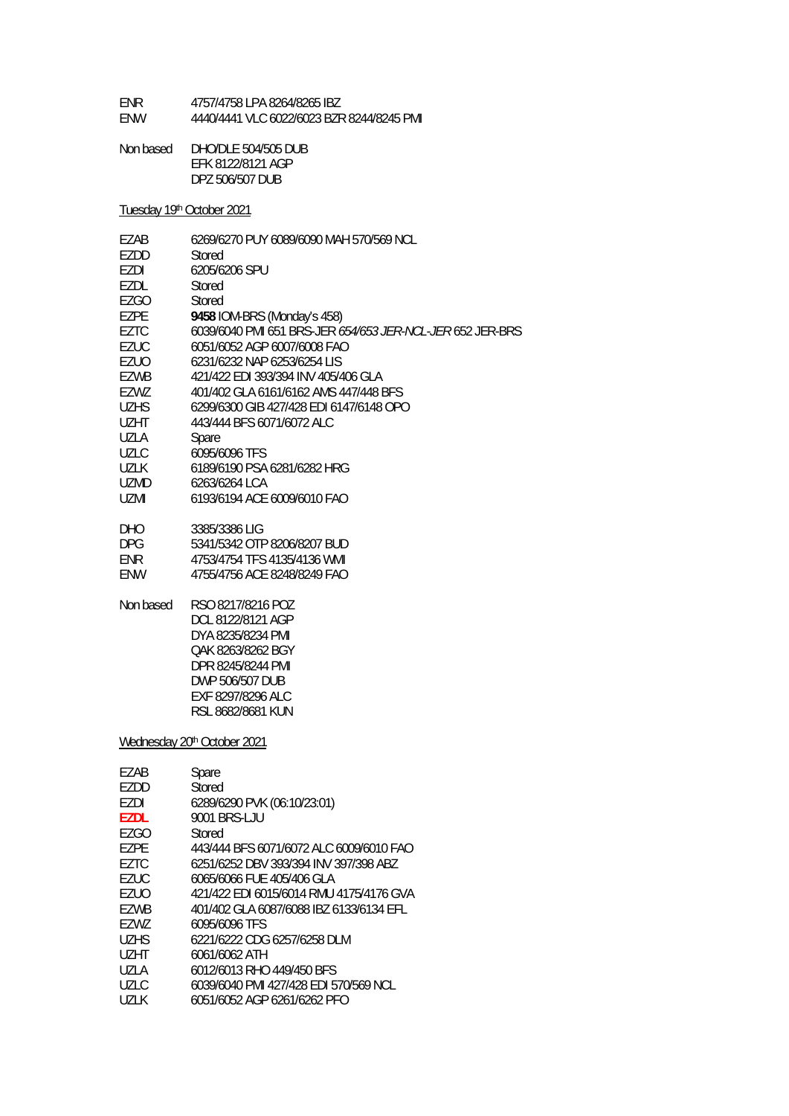| <b>FNR</b> | 4757/4758 LPA 8264/8265 IBZ               |
|------------|-------------------------------------------|
| <b>FNW</b> | 4440/4441 VLC 6022/6023 BZR 8244/8245 PMI |

Non based DHO/DLE 504/505 DUB EFK 8122/8121 AGP DPZ 506/507 DUB

Tuesday 19th October 2021

| EZAB        | 6269/6270 PUY 6089/6090 MAH 570/569 NCL                                                                                                                            |
|-------------|--------------------------------------------------------------------------------------------------------------------------------------------------------------------|
| EZDD        | Stored                                                                                                                                                             |
| EZDI        | 6205/6206 SPU                                                                                                                                                      |
| EZDL        | Stored                                                                                                                                                             |
| <b>EZGO</b> | Stored                                                                                                                                                             |
| EZPE        | 9458 IOM-BRS (Monday's 458)                                                                                                                                        |
| <b>EZTC</b> |                                                                                                                                                                    |
|             | 6039/6040 PMI 651 BRS-JER 654/653 JER-NCL-JER 652 JER-BRS                                                                                                          |
| <b>EZUC</b> | 6051/6052 AGP 6007/6008 FAO                                                                                                                                        |
| EZUO        | 6231/6232 NAP 6253/6254 LIS                                                                                                                                        |
| <b>EZWB</b> | 421/422 EDI 393/394 INV 405/406 GLA                                                                                                                                |
| EZWZ        | 401/402 GLA 6161/6162 AMS 447/448 BFS                                                                                                                              |
| <b>UZHS</b> | 6299/6300 GIB 427/428 EDI 6147/6148 OPO                                                                                                                            |
| UZHT        | 443/444 BFS 6071/6072 ALC                                                                                                                                          |
| <b>UZLA</b> | Spare                                                                                                                                                              |
| <b>UZLC</b> | 6095/6096 TFS                                                                                                                                                      |
| <b>UZLK</b> | 6189/6190 PSA 6281/6282 HRG                                                                                                                                        |
| UZMD        | 6263/6264 LCA                                                                                                                                                      |
| <b>UZMI</b> | 6193/6194 ACE 6009/6010 FAO                                                                                                                                        |
|             |                                                                                                                                                                    |
| <b>DHO</b>  | 3385/3386 LIG                                                                                                                                                      |
| <b>DPG</b>  | 5341/5342 OTP 8206/8207 BUD                                                                                                                                        |
| <b>ENR</b>  | 4753/4754 TFS 4135/4136 WMI                                                                                                                                        |
| <b>ENW</b>  | 4755/4756 ACE 8248/8249 FAO                                                                                                                                        |
|             |                                                                                                                                                                    |
| Non based   | RSO 8217/8216 POZ<br>DCL 8122/8121 AGP<br>DYA 8235/8234 PMI<br>QAK 8263/8262 BGY<br>DPR 8245/8244 PMI<br>DWP 506/507 DUB<br>EXF 8297/8296 ALC<br>RSL 8682/8681 KUN |
|             | Wednesday 20 <sup>th</sup> October 2021                                                                                                                            |
| EZAB        | Spare                                                                                                                                                              |
| EZDD        | Stored                                                                                                                                                             |
| EZDI        | 6289/6290 PVK (06:10/23:01)                                                                                                                                        |
| <b>EZDL</b> | 9001 BRS-LJU                                                                                                                                                       |
| <b>EZGO</b> | Stored                                                                                                                                                             |
| EZPE        | 443/444 BFS 6071/6072 ALC 6009/6010 FAO                                                                                                                            |
| <b>EZTC</b> | 6251/6252 DBV 393/394 INV 397/398 ABZ                                                                                                                              |
| <b>EZUC</b> | 6065/6066 FUE 405/406 GLA                                                                                                                                          |
|             |                                                                                                                                                                    |
| <b>EZUO</b> | 421/422 EDI 6015/6014 RMU 4175/4176 GVA                                                                                                                            |
| <b>EZWB</b> | 401/402 GLA 6087/6088 IBZ 6133/6134 EFL                                                                                                                            |
| EZWZ        | 6095/6096 TFS                                                                                                                                                      |
| <b>UZHS</b> | 6221/6222 CDG 6257/6258 DLM                                                                                                                                        |
| <b>UZHT</b> | 6061/6062 ATH                                                                                                                                                      |

- 
- UZLA 6012/6013 RHO 449/450 BFS<br>UZLC 6039/6040 PMI 427/428 EDI 51 UZLC 6039/6040 PMI 427/428 EDI 570/569 NCL<br>UZLK 6051/6052 AGP 6261/6262 PFO
- UZLK 6051/6052 AGP 6261/6262 PFO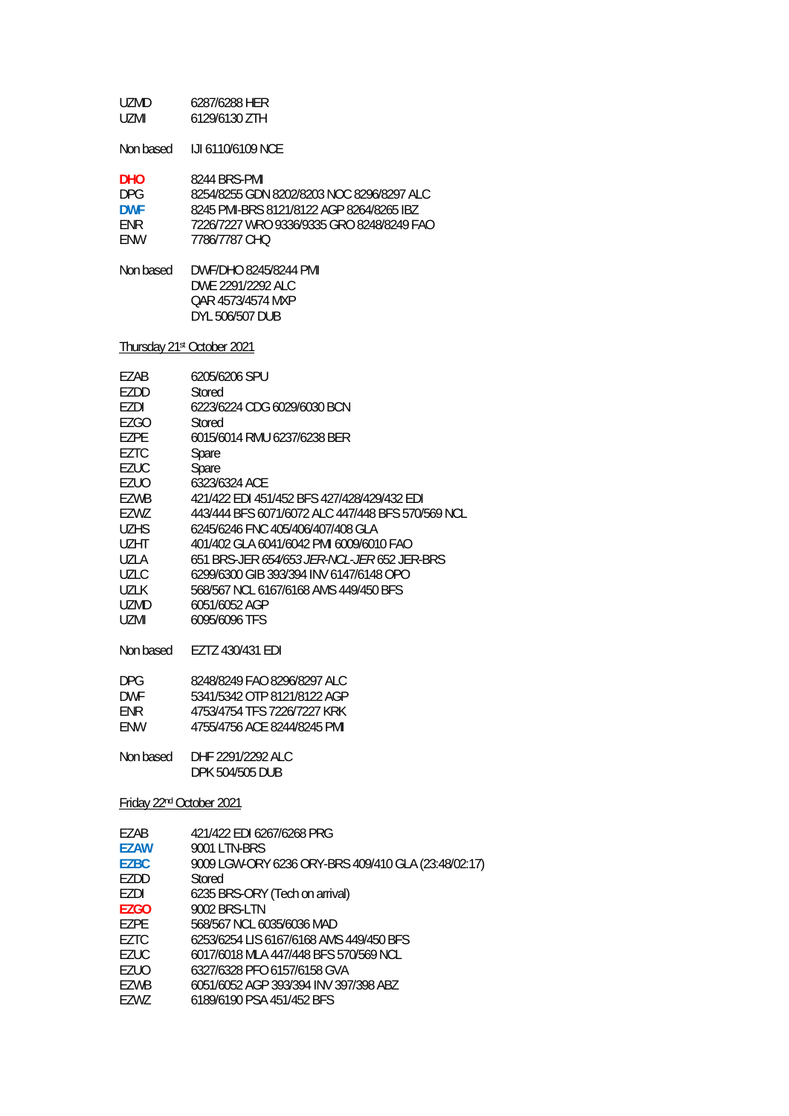| UZMD. | 6287/6288 HER |
|-------|---------------|
| UZMI. | 6129/6130 ZTH |

Non based IJI 6110/6109 NCE

| <b>DHO</b> | 8244 BRS-PMI                              |
|------------|-------------------------------------------|
| DPG.       | 8254/8255 GDN 8202/8203 NOC 8296/8297 ALC |
| <b>DWF</b> | 8245 PMI-BRS 8121/8122 AGP 8264/8265 IBZ  |
| <b>FNR</b> | 7226/7227 WRO 9336/9335 GRO 8248/8249 FAO |
| <b>FNW</b> | 7786/7787 CHO                             |

Non based DWF/DHO 8245/8244 PMI DWE 2291/2292 ALC QAR 4573/4574 MXP DYL 506/507 DUB

Thursday 21st October 2021

| F7AB  | 6205/6206 SPU                                      |
|-------|----------------------------------------------------|
| EZDD  | Stored                                             |
| EZDI  | 6223/6224 CDG 6029/6030 BCN                        |
| F7GO  | Stored                                             |
| EZPE  | 6015/6014 RMU 6237/6238 BER                        |
| F7TC  | Spare                                              |
| EZUC  | Spare                                              |
| EZUO  | 6323/6324 ACF                                      |
| EZWB  | 421/422 EDI 451/452 BFS 427/428/429/432 EDI        |
| EZWZ  | 443/444 BFS 6071/6072 ALC 447/448 BFS 570/569 NCL  |
| UZHS. | 6245/6246 FNC 405/406/407/408 GLA                  |
| U7HT  | 401/402 GLA 6041/6042 PML6009/6010 FAO             |
| UZI A | 651 BRS-JFR <i>654/653 JFR-NCL-JFR</i> 652 JFR-BRS |
| UZLC  | 6299/6300 GIB 393/394 INV 6147/6148 OPO            |
| UZLK  | 568/567 NCL 6167/6168 AMS 449/450 BFS              |
| UZMD  | 6051/6052 AGP                                      |
| UZMI  | 6095/6096 TFS                                      |
|       |                                                    |

Non based EZTZ 430/431 EDI

| DPG.       | 8248/8249 FAO 8296/8297 ALC |
|------------|-----------------------------|
| <b>DWF</b> | 5341/5342 OTP 8121/8122 AGP |
| FNR.       | 4753/4754 TFS 7226/7227 KRK |
| FNW        | 4755/4756 ACE 8244/8245 PMI |

Non based DHF 2291/2292 ALC DPK 504/505 DUB

Friday 22nd October 2021

| EZAB        | 421/422 EDI 6267/6268 PRG                           |
|-------------|-----------------------------------------------------|
| <b>EZAW</b> | 9001 LTN-BRS                                        |
| <b>EZBC</b> | 9009 LGW-ORY 6236 ORY-BRS 409/410 GLA (23:48/02:17) |
| EZDD        | Stored                                              |
| EZDI        | 6235 BRS-ORY (Tech on arrival)                      |
| EZGO        | 9002 BRS-LTN                                        |
| EZPE        | 568/567 NCL 6035/6036 MAD                           |
| EZTC        | 6253/6254 LIS 6167/6168 AMS 449/450 BFS             |
| EZUC        | 6017/6018 MLA 447/448 BFS 570/569 NCL               |
| EZUO        | 6327/6328 PFO 6157/6158 GVA                         |
| EZWB        | 6051/6052 AGP 393/394 INV 397/398 ABZ               |
| EZWZ        | 6189/6190 PSA 451/452 BFS                           |
|             |                                                     |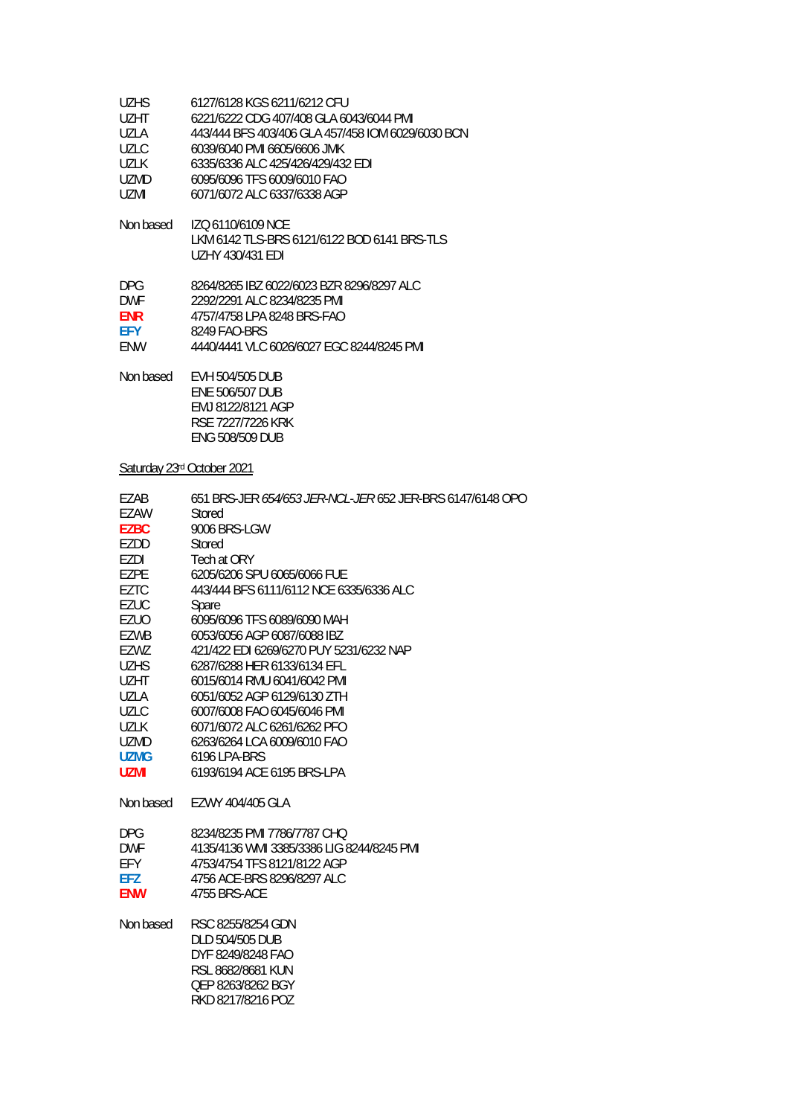| <b>UZHS</b>                | 6127/6128 KGS 6211/6212 CFU                                                                     |  |
|----------------------------|-------------------------------------------------------------------------------------------------|--|
| <b>UZHT</b>                | 6221/6222 CDG 407/408 GLA 6043/6044 PMI                                                         |  |
| <b>UZLA</b>                | 443/444 BFS 403/406 GLA 457/458 IOM 6029/6030 BCN                                               |  |
| <b>UZLC</b>                | 6039/6040 PMI 6605/6606 JMK                                                                     |  |
| <b>UZLK</b>                | 6335/6336 ALC 425/426/429/432 EDI                                                               |  |
| <b>UZMD</b>                | 6095/6096 TFS 6009/6010 FAO                                                                     |  |
| <b>UZMI</b>                | 6071/6072 ALC 6337/6338 AGP                                                                     |  |
| Non based                  | IZQ 6110/6109 NCE<br>LKM 6142 TLS-BRS 6121/6122 BOD 6141 BRS-TLS<br><b>UZHY 430/431 EDI</b>     |  |
| <b>DPG</b>                 | 8264/8265 IBZ 6022/6023 BZR 8296/8297 ALC                                                       |  |
| <b>DWF</b>                 | 2292/2291 ALC 8234/8235 PMI                                                                     |  |
| <b>ENR</b>                 | 4757/4758 LPA 8248 BRS-FAO                                                                      |  |
| <b>EFY</b>                 | 8249 FAO-BRS                                                                                    |  |
| <b>ENW</b>                 | 4440/4441 VLC 6026/6027 EGC 8244/8245 PMI                                                       |  |
| Non based                  | EVH 504/505 DUB<br>ENE 506/507 DUB<br>EMJ 8122/8121 AGP<br>RSE 7227/7226 KRK<br>ENG 508/509 DUB |  |
| Saturday 23rd October 2021 |                                                                                                 |  |
| EZAB                       | 651 BRS-JER 654/653 JER-NCL-JER 652 JER-BRS 6147/6148 OPO                                       |  |
| EZAW                       | <b>Stored</b>                                                                                   |  |
| <b>EZBC</b>                | 9006 BRS-LGW                                                                                    |  |
| EZDD                       | Stored                                                                                          |  |
| EZDI                       | Tech at ORY                                                                                     |  |
| <b>EZPE</b>                | 6205/6206 SPU 6065/6066 FUE                                                                     |  |
| <b>EZTC</b>                | 443/444 BFS 6111/6112 NCE 6335/6336 ALC                                                         |  |
| <b>EZUC</b>                | Spare                                                                                           |  |
| <b>EZUO</b>                | 6095/6096 TFS 6089/6090 MAH                                                                     |  |
| EZWB                       | 6053/6056 AGP 6087/6088 IBZ                                                                     |  |
| EZWZ                       | 421/422 EDI 6269/6270 PUY 5231/6232 NAP                                                         |  |
| <b>UZHS</b>                | 6287/6288 HER 6133/6134 EFL                                                                     |  |
| <b>UZHT</b>                | 6015/6014 RMU 6041/6042 PMI                                                                     |  |

UZLA 6051/6052 AGP 6129/6130 ZTH UZLC 6007/6008 FAO 6045/6046 PMI<br>UZLK 6071/6072 ALC 6261/6262 PFO UZLK 6071/6072 ALC 6261/6262 PFO<br>UZMD 6263/6264 LCA 6009/6010 FAO

DPG 8234/8235 PMI 7786/7787 CHQ<br>DWF 4135/4136 WMI 3385/3386 LIG 8

EFY 4753/4754 TFS 8121/8122 AGP<br>EFZ 4756 ACE-BRS 8296/8297 ALC **EFZ** 4756 ACE-BRS 8296/8297 ALC **ENW** 4755 BRS-ACE

> DLD 504/505 DUB DYF 8249/8248 FAO RSL 8682/8681 KUN QEP 8263/8262 BGY RKD 8217/8216 POZ

**UZMG** 6196 LPA-BRS<br> **UZMI** 6193/6194 ACE

Non based EZWY 404/405 GLA

Non based RSC 8255/8254 GDN

6263/6264 LCA 6009/6010 FAO

**UZMI** 6193/6194 ACE 6195 BRS-LPA

DWF 4135/4136 WMI 3385/3386 LIG 8244/8245 PMI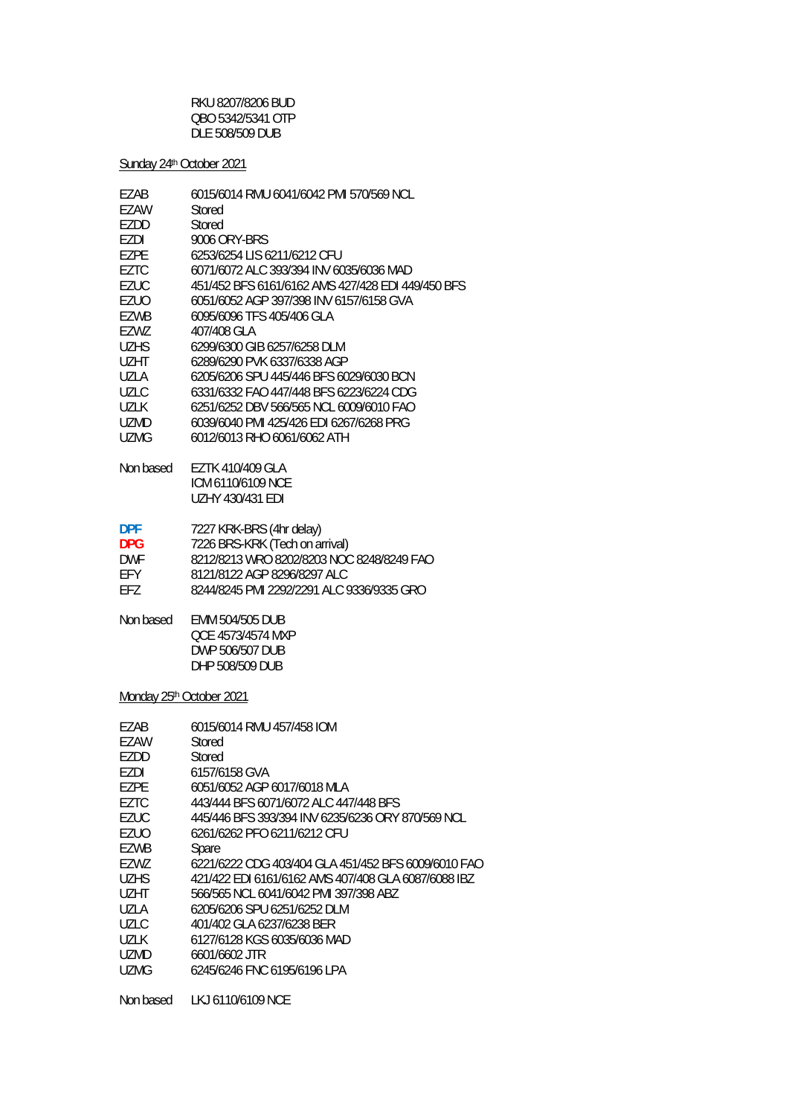RKU 8207/8206 BUD QBO 5342/5341 OTP DLE 508/509 DUB

Sunday 24<sup>th</sup> October 2021

| 451/452 BFS 6161/6162 AMS 427/428 EDI 449/450 BFS |
|---------------------------------------------------|
|                                                   |
|                                                   |
|                                                   |
|                                                   |
|                                                   |
|                                                   |
|                                                   |
|                                                   |
|                                                   |
|                                                   |
|                                                   |
|                                                   |
|                                                   |
|                                                   |
|                                                   |
| 8212/8213 WRO 8202/8203 NOC 8248/8249 FAO         |
|                                                   |
| 8244/8245 PMI 2292/2291 ALC 9336/9335 GRO         |
|                                                   |
|                                                   |
|                                                   |
|                                                   |
|                                                   |

Monday 25<sup>th</sup> October 2021

| FZAB        | 6015/6014 RMU 457/458 IOM                           |
|-------------|-----------------------------------------------------|
| EZAW        | Stored                                              |
| F7DD        | Stored                                              |
| F7DI        | 6157/6158 GVA                                       |
| F7PF        | 6051/6052 AGP 6017/6018 MLA                         |
| F7TC        | 443/444 BFS 6071/6072 ALC 447/448 BFS               |
| <b>EZUC</b> | 445/446 BFS 393/394 INV 6235/6236 ORY 870/569 NCL   |
| <b>EZUO</b> | 6261/6262 PFO 6211/6212 CFU                         |
| EZWB        | Spare                                               |
| EZWZ        | 6221/6222 CDG 403/404 GLA 451/452 BFS 6009/6010 FAO |
| <b>UZHS</b> | 421/422 EDI 6161/6162 AMS 407/408 GLA 6087/6088 IBZ |
| UZHT        | 566/565 NCL 6041/6042 PMI 397/398 ABZ               |
| UZLA        | 6205/6206 SPU 6251/6252 DLM                         |
| UZLC        | 401/402 GLA 6237/6238 BER                           |
| <b>UZLK</b> | 6127/6128 KGS 6035/6036 MAD                         |
| <b>UZMD</b> | 6601/6602 JTR                                       |
| UZMG        | 6245/6246 FNC 6195/6196 LPA                         |
| Non based   | LKJ 6110/6109 NCE                                   |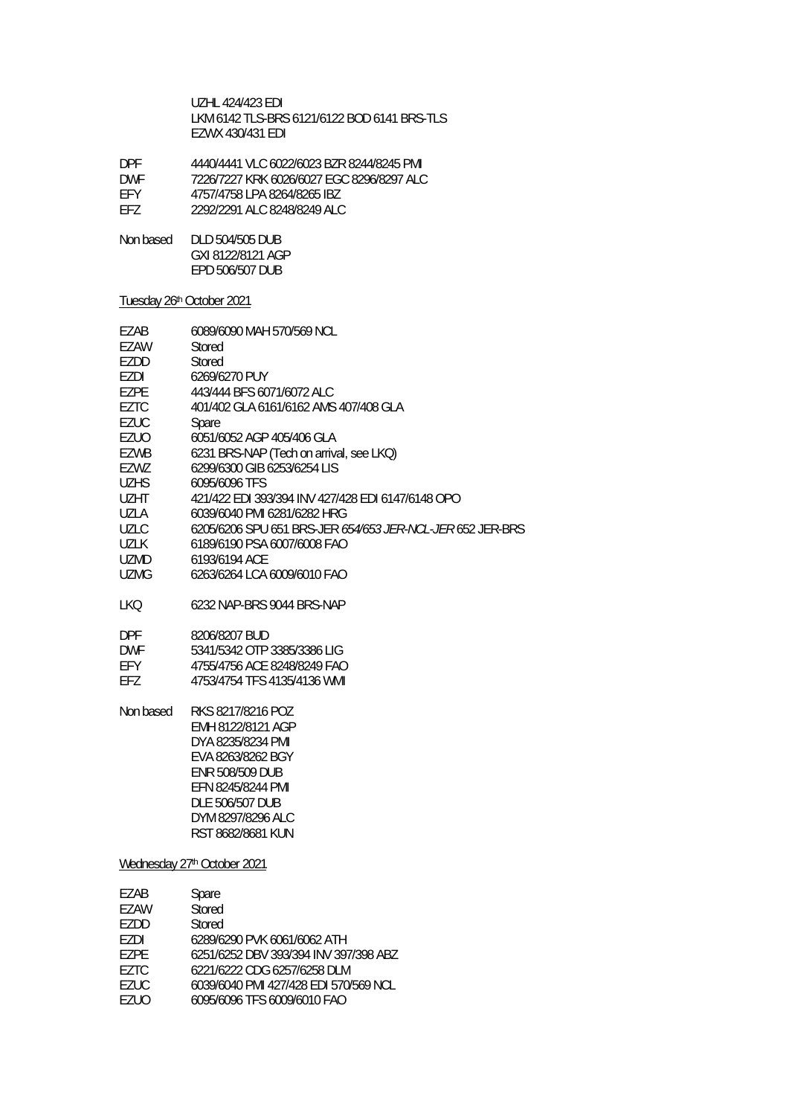UZHL 424/423 EDI LKM 6142 TLS-BRS 6121/6122 BOD 6141 BRS-TLS EZWX 430/431 EDI

| 4440/4441 VLC 6022/6023 BZR 8244/8245 PMI |
|-------------------------------------------|
| 7226/7227 KRK 6026/6027 EGC 8296/8297 ALC |
| 4757/4758 LPA 8264/8265 IBZ               |
| 2292/2291 ALC 8248/8249 ALC               |
|                                           |

Non based DLD 504/505 DUB GXI 8122/8121 AGP EPD 506/507 DUB

## Tuesday 26th October 2021

| EZAB                        | 6089/6090 MAH 570/569 NCL                                 |  |
|-----------------------------|-----------------------------------------------------------|--|
| EZAW                        | Stored                                                    |  |
| EZDD                        | Stored                                                    |  |
| EZDI                        | 6269/6270 PUY                                             |  |
| <b>EZPE</b>                 | 443/444 BFS 6071/6072 ALC                                 |  |
| <b>EZTC</b>                 | 401/402 GLA 6161/6162 AMS 407/408 GLA                     |  |
| <b>EZUC</b>                 | Spare                                                     |  |
| EZUO                        | 6051/6052 AGP 405/406 GLA                                 |  |
| <b>EZWB</b>                 | 6231 BRS-NAP (Tech on arrival, see LKQ)                   |  |
| EZWZ                        | 6299/6300 GIB 6253/6254 LIS                               |  |
| <b>UZHS</b>                 | 6095/6096 TFS                                             |  |
| UZHT                        | 421/422 EDI 393/394 INV 427/428 EDI 6147/6148 OPO         |  |
| UZLA                        | 6039/6040 PMI 6281/6282 HRG                               |  |
| <b>UZLC</b>                 | 6205/6206 SPU 651 BRS-JER 654/653 JER-NCL-JER 652 JER-BRS |  |
| UZLK                        | 6189/6190 PSA 6007/6008 FAO                               |  |
| UZMD                        | 6193/6194 ACE                                             |  |
| <b>UZMG</b>                 | 6263/6264 LCA 6009/6010 FAO                               |  |
| LKQ                         | 6232 NAP-BRS 9044 BRS-NAP                                 |  |
| <b>DPF</b>                  | 8206/8207 BUD                                             |  |
| <b>DWF</b>                  | 5341/5342 OTP 3385/3386 LIG                               |  |
| EFY                         | 4755/4756 ACE 8248/8249 FAO                               |  |
| EFZ                         | 4753/4754 TFS 4135/4136 WMI                               |  |
| Non based                   | RKS 8217/8216 POZ                                         |  |
|                             | EMH 8122/8121 AGP                                         |  |
|                             | DYA 8235/8234 PMI                                         |  |
|                             | EVA 8263/8262 BGY                                         |  |
|                             | <b>ENR 508/509 DUB</b>                                    |  |
|                             | EFN 8245/8244 PMI                                         |  |
|                             | DLE 506/507 DUB                                           |  |
|                             | DYM 8297/8296 ALC                                         |  |
|                             | RST 8682/8681 KUN                                         |  |
|                             |                                                           |  |
| Wednesday 27th October 2021 |                                                           |  |
| EZAB                        | Spare                                                     |  |
| <b>EZAW</b>                 | Stored                                                    |  |

| EZAW | Stored                                |
|------|---------------------------------------|
| F7DD | Stored                                |
| F7DI | 6289/6290 PVK 6061/6062 ATH           |
| F7PF | 6251/6252 DBV 393/394 INV 397/398 ABZ |
| F7TC | 6221/6222 CDG 6257/6258 DLM           |
| EZUC | 6039/6040 PMI 427/428 EDI 570/569 NCL |
| F7UO | 6095/6096 TFS 6009/6010 FAO           |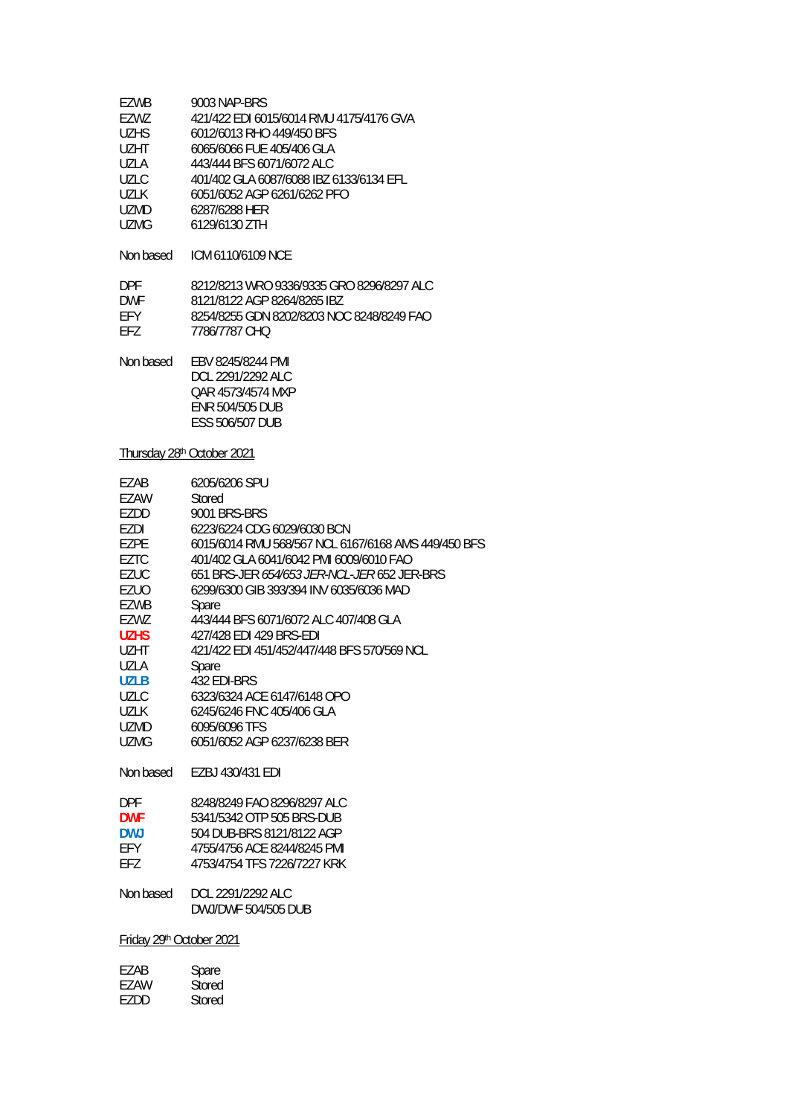| EZWB        | 9003 NAP-BRS                            |
|-------------|-----------------------------------------|
| EZWZ        | 421/422 EDI 6015/6014 RMU 4175/4176 GVA |
| <b>UZHS</b> | 6012/6013 RHO 449/450 BFS               |
| UZHT.       | 6065/6066 FUE 405/406 GLA               |
| UZLA        | 443/444 BFS 6071/6072 ALC               |
| UZLC        | 401/402 GLA 6087/6088 IBZ 6133/6134 EFL |
| UZLK        | 6051/6052 AGP 6261/6262 PFO             |
| <b>UZMD</b> | 6287/6288 HER                           |
| <b>UZMG</b> | 6129/6130 ZTH                           |
|             |                                         |

Non based ICM 6110/6109 NCE

| <b>DPF</b> | 8212/8213 WRO 9336/9335 GRO 8296/8297 ALC |
|------------|-------------------------------------------|
| <b>DWF</b> | 8121/8122 AGP 8264/8265 IBZ               |
| FFY        | 8254/8255 GDN 8202/8203 NOC 8248/8249 FAO |
| FF7        | 7786/7787 CHO                             |

| Non based | EBV 8245/8244 PMI      |
|-----------|------------------------|
|           | DCL 2291/2292 ALC      |
|           | QAR 4573/4574 MXP      |
|           | <b>FNR 504/505 DUB</b> |
|           | ESS 506/507 DUB        |

## Thursday 28<sup>th</sup> October 2021

| EZAB<br>EZAW<br>EZDD<br>EZDI<br><b>EZPE</b><br><b>EZTC</b><br>EZUC<br><b>EZUO</b><br><b>EZWB</b><br>EZWZ<br><b>UZHS</b> | 6205/6206 SPU<br>Stored<br><b>9001 BRS-BRS</b><br>6223/6224 CDG 6029/6030 BCN<br>6015/6014 RMU 568/567 NCL 6167/6168 AMS 449/450 BFS<br>401/402 GLA 6041/6042 PMI 6009/6010 FAO<br>651 BRS-JER 654/653 JER-NCL-JER 652 JER-BRS<br>6299/6300 GIB 393/394 INV 6035/6036 MAD<br>Spare<br>443/444 BFS 6071/6072 ALC 407/408 GLA<br>427/428 FDI 429 BRS-FDI |  |
|-------------------------------------------------------------------------------------------------------------------------|--------------------------------------------------------------------------------------------------------------------------------------------------------------------------------------------------------------------------------------------------------------------------------------------------------------------------------------------------------|--|
| <b>UZHT</b>                                                                                                             | 421/422 EDI 451/452/447/448 BFS 570/569 NCL                                                                                                                                                                                                                                                                                                            |  |
| UZLA<br><b>UZLB</b>                                                                                                     | Spare<br>432 EDI-BRS                                                                                                                                                                                                                                                                                                                                   |  |
| <b>UZLC</b>                                                                                                             | 6323/6324 ACE 6147/6148 OPO                                                                                                                                                                                                                                                                                                                            |  |
| UZLK                                                                                                                    | 6245/6246 FNC 405/406 GLA                                                                                                                                                                                                                                                                                                                              |  |
| <b>UZMD</b>                                                                                                             | 6095/6096 TFS                                                                                                                                                                                                                                                                                                                                          |  |
| UZMG                                                                                                                    | 6051/6052 AGP 6237/6238 BER                                                                                                                                                                                                                                                                                                                            |  |
| Non based                                                                                                               | EZBJ 430/431 EDI                                                                                                                                                                                                                                                                                                                                       |  |
| DPF                                                                                                                     | 8248/8249 FAO 8296/8297 ALC                                                                                                                                                                                                                                                                                                                            |  |
| <b>DWF</b>                                                                                                              | 5341/5342 OTP 505 BRS-DUB                                                                                                                                                                                                                                                                                                                              |  |
| <b>DWJ</b>                                                                                                              | 504 DUB-BRS 8121/8122 AGP                                                                                                                                                                                                                                                                                                                              |  |
| <b>EFY</b>                                                                                                              | 4755/4756 ACE 8244/8245 PMI                                                                                                                                                                                                                                                                                                                            |  |
| EFZ                                                                                                                     | 4753/4754 TFS 7226/7227 KRK                                                                                                                                                                                                                                                                                                                            |  |
| Non based                                                                                                               | DCL 2291/2292 ALC<br><b>DWJ/DWF 504/505 DUB</b>                                                                                                                                                                                                                                                                                                        |  |
| Friday 29th October 2021                                                                                                |                                                                                                                                                                                                                                                                                                                                                        |  |
|                                                                                                                         |                                                                                                                                                                                                                                                                                                                                                        |  |
| EZAB                                                                                                                    | Spare                                                                                                                                                                                                                                                                                                                                                  |  |
| EZAW                                                                                                                    | Stored                                                                                                                                                                                                                                                                                                                                                 |  |
| <b>EZDD</b>                                                                                                             | Stored                                                                                                                                                                                                                                                                                                                                                 |  |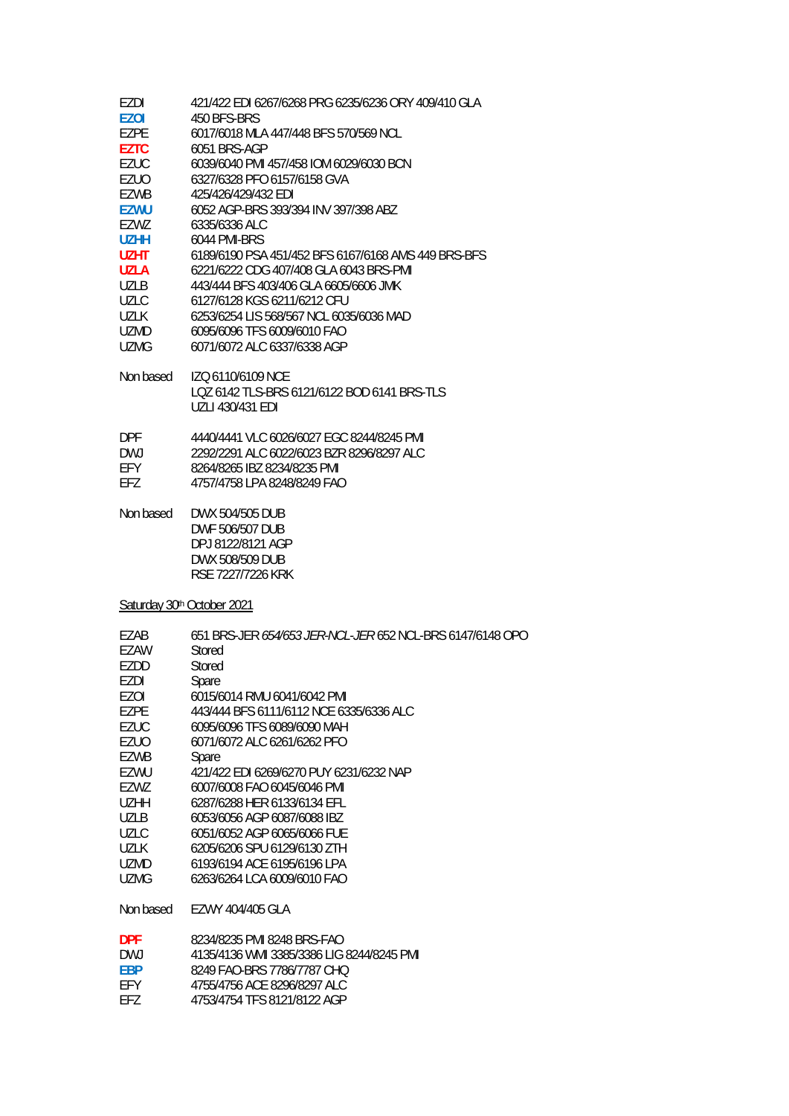| EZDI<br><b>EZOI</b><br>EZPE<br><b>EZTC</b><br>EZUC<br>EZUO<br><b>EZWB</b><br><b>EZWU</b><br>EZWZ<br>UZHH<br>UZHT<br>UZLA<br>UZLB<br>UZLC<br>UZLK<br>UZMD | 421/422 EDI 6267/6268 PRG 6235/6236 ORY 409/410 GLA<br>450 BFS-BRS<br>6017/6018 MLA 447/448 BFS 570/569 NCL<br>6051 BRS-AGP<br>6039/6040 PMI 457/458 IOM 6029/6030 BCN<br>6327/6328 PFO 6157/6158 GVA<br>425/426/429/432 EDI<br>6052 AGP-BRS 393/394 INV 397/398 ABZ<br>6335/6336 ALC<br>6044 PMI-BRS<br>6189/6190 PSA 451/452 BFS 6167/6168 AMS 449 BRS-BFS<br>6221/6222 CDG 407/408 GLA 6043 BRS-PMI<br>443/444 BFS 403/406 GLA 6605/6606 JMK<br>6127/6128 KGS 6211/6212 CFU<br>6253/6254 LIS 568/567 NCL 6035/6036 MAD<br>6095/6096 TFS 6009/6010 FAO |
|----------------------------------------------------------------------------------------------------------------------------------------------------------|----------------------------------------------------------------------------------------------------------------------------------------------------------------------------------------------------------------------------------------------------------------------------------------------------------------------------------------------------------------------------------------------------------------------------------------------------------------------------------------------------------------------------------------------------------|
| UZMG                                                                                                                                                     | 6071/6072 ALC 6337/6338 AGP                                                                                                                                                                                                                                                                                                                                                                                                                                                                                                                              |
| Non based                                                                                                                                                | IZO 6110/6109 NCE<br>LQZ 6142 TLS-BRS 6121/6122 BOD 6141 BRS-TLS<br>UZLI 430/431 EDI                                                                                                                                                                                                                                                                                                                                                                                                                                                                     |
| DPF.<br>DWJ<br>EFY<br>EFZ                                                                                                                                | 4440/4441 VLC 6026/6027 EGC 8244/8245 PMI<br>2292/2291 ALC 6022/6023 BZR 8296/8297 ALC<br>8264/8265 IBZ 8234/8235 PMI<br>4757/4758 LPA 8248/8249 FAO                                                                                                                                                                                                                                                                                                                                                                                                     |
| Non based                                                                                                                                                | DWX 504/505 DUB<br><b>DWF 506/507 DUB</b><br>DPJ 8122/8121 AGP<br>DWX 508/509 DUB<br>RSE 7227/7226 KRK                                                                                                                                                                                                                                                                                                                                                                                                                                                   |
|                                                                                                                                                          | Saturday 30th October 2021                                                                                                                                                                                                                                                                                                                                                                                                                                                                                                                               |
| EZAB<br>EZAW<br>EZDD<br>EZDI<br>EZOI<br>EZPE<br><b>EZUC</b><br>EZUO<br>EZWB<br>EZWU<br>EZWZ<br>UZHH<br>UZLB<br>UZLC<br>UZLK<br>UZMD<br>UZMG              | 651 BRS-JER 654/653 JER-NCL-JER 652 NCL-BRS 6147/6148 OPO<br>Stored<br>Stored<br>Spare<br>6015/6014 RMU 6041/6042 PMI<br>443/444 BFS 6111/6112 NCE 6335/6336 ALC<br>6095/6096 TFS 6089/6090 MAH<br>6071/6072 ALC 6261/6262 PFO<br>Spare<br>421/422 EDI 6269/6270 PUY 6231/6232 NAP<br>6007/6008 FAO 6045/6046 PMI<br>6287/6288 HER 6133/6134 EFL<br>6053/6056 AGP 6087/6088 IBZ<br>6051/6052 AGP 6065/6066 FUE<br>6205/6206 SPU 6129/6130 ZTH<br>6193/6194 ACE 6195/6196 LPA<br>6263/6264 LCA 6009/6010 FAO                                              |
| Non based                                                                                                                                                | EZWY 404/405 GLA                                                                                                                                                                                                                                                                                                                                                                                                                                                                                                                                         |
| <b>DPF</b>                                                                                                                                               | 8234/8235 PMI 8248 RRS-FAO                                                                                                                                                                                                                                                                                                                                                                                                                                                                                                                               |

| <b>DPF</b> | 8234/8235 PMI 8248 BRS-FAO                |
|------------|-------------------------------------------|
| DW J       | 4135/4136 WMI 3385/3386 LIG 8244/8245 PMI |
| FRP        | 8249 FAO-BRS 7786/7787 CHO                |
| FFY        | 4755/4756 ACF 8296/8297 ALC               |
| FFZ.       | 4753/4754 TFS 8121/8122 AGP               |